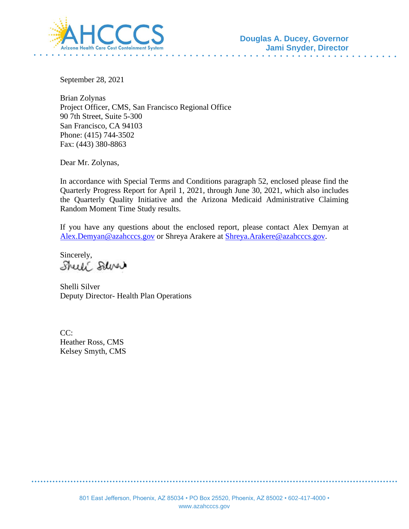

September 28, 2021

Brian Zolynas Project Officer, CMS, San Francisco Regional Office 90 7th Street, Suite 5-300 San Francisco, CA 94103 Phone: (415) 744-3502 Fax: (443) 380-8863

Dear Mr. Zolynas,

In accordance with Special Terms and Conditions paragraph 52, enclosed please find the Quarterly Progress Report for April 1, 2021, through June 30, 2021, which also includes the Quarterly Quality Initiative and the Arizona Medicaid Administrative Claiming Random Moment Time Study results.

If you have any questions about the enclosed report, please contact Alex Demyan at [Alex.Demyan@azahcccs.gov](mailto:Alex.Demyan@azahcccs.gov) or Shreya Arakere at [Shreya.Arakere@azahcccs.gov.](mailto:Shreya.Arakere@azahcccs.gov)

Sincerely, Shell Salver

Shelli Silver Deputy Director- Health Plan Operations

 $CC:$ Heather Ross, CMS Kelsey Smyth, CMS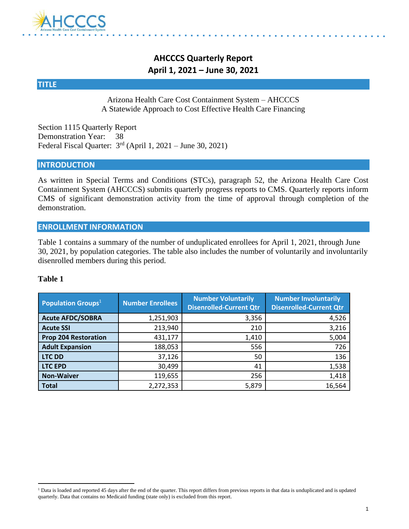

# **AHCCCS Quarterly Report April 1, 2021 – June 30, 2021**

#### **TITLE**

#### Arizona Health Care Cost Containment System – AHCCCS A Statewide Approach to Cost Effective Health Care Financing

Section 1115 Quarterly Report Demonstration Year: 38 Federal Fiscal Quarter:  $3<sup>rd</sup>$  (April 1, 2021 – June 30, 2021)

#### **INTRODUCTION**

As written in Special Terms and Conditions (STCs), paragraph 52, the Arizona Health Care Cost Containment System (AHCCCS) submits quarterly progress reports to CMS. Quarterly reports inform CMS of significant demonstration activity from the time of approval through completion of the demonstration.

#### **ENROLLMENT INFORMATION**

Table 1 contains a summary of the number of unduplicated enrollees for April 1, 2021, through June 30, 2021, by population categories. The table also includes the number of voluntarily and involuntarily disenrolled members during this period.

#### **Table 1**

| <b>Population Groups</b> $1$ | <b>Number Enrollees</b> | <b>Number Voluntarily</b><br><b>Disenrolled-Current Qtr</b> | <b>Number Involuntarily</b><br><b>Disenrolled-Current Qtr</b> |
|------------------------------|-------------------------|-------------------------------------------------------------|---------------------------------------------------------------|
| <b>Acute AFDC/SOBRA</b>      | 1,251,903               | 3,356                                                       | 4,526                                                         |
| <b>Acute SSI</b>             | 213,940                 | 210                                                         | 3,216                                                         |
| <b>Prop 204 Restoration</b>  | 431,177                 | 1,410                                                       | 5,004                                                         |
| <b>Adult Expansion</b>       | 188,053                 | 556                                                         | 726                                                           |
| <b>LTC DD</b>                | 37,126                  | 50                                                          | 136                                                           |
| <b>LTC EPD</b>               | 30,499                  | 41                                                          | 1,538                                                         |
| <b>Non-Waiver</b>            | 119,655                 | 256                                                         | 1,418                                                         |
| <b>Total</b>                 | 2,272,353               | 5,879                                                       | 16,564                                                        |

<sup>&</sup>lt;sup>1</sup> Data is loaded and reported 45 days after the end of the quarter. This report differs from previous reports in that data is unduplicated and is updated quarterly. Data that contains no Medicaid funding (state only) is excluded from this report.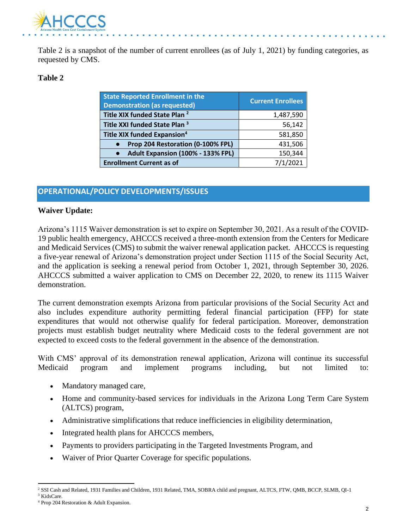

Table 2 is a snapshot of the number of current enrollees (as of July 1, 2021) by funding categories, as requested by CMS.

#### **Table 2**

| <b>State Reported Enrollment in the</b><br><b>Demonstration (as requested)</b> | <b>Current Enrollees</b> |
|--------------------------------------------------------------------------------|--------------------------|
| Title XIX funded State Plan <sup>2</sup>                                       | 1,487,590                |
| Title XXI funded State Plan <sup>3</sup>                                       | 56,142                   |
| Title XIX funded Expansion <sup>4</sup>                                        | 581,850                  |
| Prop 204 Restoration (0-100% FPL)                                              | 431,506                  |
| Adult Expansion (100% - 133% FPL)                                              | 150,344                  |
| <b>Enrollment Current as of</b>                                                | 7/1/2021                 |

### **OPERATIONAL/POLICY DEVELOPMENTS/ISSUES**

#### **Waiver Update:**

Arizona's 1115 Waiver demonstration is set to expire on September 30, 2021. As a result of the COVID-19 public health emergency, AHCCCS received a three-month extension from the Centers for Medicare and Medicaid Services (CMS) to submit the waiver renewal application packet. AHCCCS is requesting a five-year renewal of Arizona's demonstration project under Section 1115 of the Social Security Act, and the application is seeking a renewal period from October 1, 2021, through September 30, 2026. AHCCCS submitted a waiver application to CMS on December 22, 2020, to renew its 1115 Waiver demonstration.

The current demonstration exempts Arizona from particular provisions of the Social Security Act and also includes expenditure authority permitting federal financial participation (FFP) for state expenditures that would not otherwise qualify for federal participation. Moreover, demonstration projects must establish budget neutrality where Medicaid costs to the federal government are not expected to exceed costs to the federal government in the absence of the demonstration.

With CMS' approval of its demonstration renewal application, Arizona will continue its successful Medicaid program and implement programs including, but not limited to:

- Mandatory managed care,
- Home and community-based services for individuals in the Arizona Long Term Care System (ALTCS) program,
- Administrative simplifications that reduce inefficiencies in eligibility determination,
- Integrated health plans for AHCCCS members,
- Payments to providers participating in the Targeted Investments Program, and
- Waiver of Prior Quarter Coverage for specific populations.

<sup>2</sup> SSI Cash and Related, 1931 Families and Children, 1931 Related, TMA, SOBRA child and pregnant, ALTCS, FTW, QMB, BCCP, SLMB, QI-1 <sup>3</sup> KidsCare.

<sup>4</sup> Prop 204 Restoration & Adult Expansion.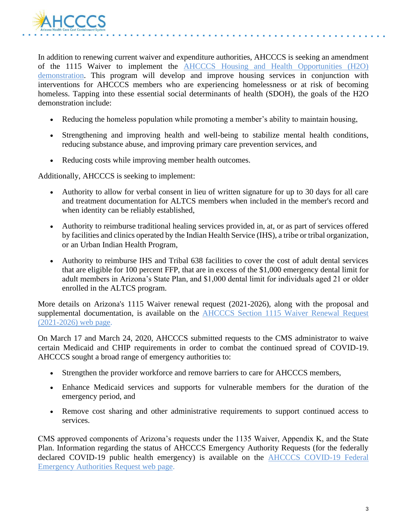

In addition to renewing current waiver and expenditure authorities, AHCCCS is seeking an amendment of the 1115 Waiver to implement the [AHCCCS Housing and Health Opportunities \(H2O\)](https://azahcccs.gov/Resources/Federal/HousingWaiverRequest.html)  [demonstration.](https://azahcccs.gov/Resources/Federal/HousingWaiverRequest.html) This program will develop and improve housing services in conjunction with interventions for AHCCCS members who are experiencing homelessness or at risk of becoming homeless. Tapping into these essential social determinants of health (SDOH), the goals of the H2O demonstration include:

- Reducing the homeless population while promoting a member's ability to maintain housing,
- Strengthening and improving health and well-being to stabilize mental health conditions, reducing substance abuse, and improving primary care prevention services, and
- Reducing costs while improving member health outcomes.

Additionally, AHCCCS is seeking to implement:

- Authority to allow for verbal consent in lieu of written signature for up to 30 days for all care and treatment documentation for ALTCS members when included in the member's record and when identity can be reliably established,
- Authority to reimburse traditional healing services provided in, at, or as part of services offered by facilities and clinics operated by the Indian Health Service (IHS), a tribe or tribal organization, or an Urban Indian Health Program,
- Authority to reimburse IHS and Tribal 638 facilities to cover the cost of adult dental services that are eligible for 100 percent FFP, that are in excess of the \$1,000 emergency dental limit for adult members in Arizona's State Plan, and \$1,000 dental limit for individuals aged 21 or older enrolled in the ALTCS program.

More details on Arizona's 1115 Waiver renewal request (2021-2026), along with the proposal and supplemental documentation, is available on the [AHCCCS Section 1115 Waiver Renewal Request](https://azahcccs.gov/Resources/Federal/waiverrenewalrequest.html)  [\(2021-2026\) web page.](https://azahcccs.gov/Resources/Federal/waiverrenewalrequest.html)

On March 17 and March 24, 2020, AHCCCS submitted requests to the CMS administrator to waive certain Medicaid and CHIP requirements in order to combat the continued spread of COVID-19. AHCCCS sought a broad range of emergency authorities to:

- Strengthen the provider workforce and remove barriers to care for AHCCCS members,
- Enhance Medicaid services and supports for vulnerable members for the duration of the emergency period, and
- Remove cost sharing and other administrative requirements to support continued access to services.

CMS approved components of Arizona's requests under the 1135 Waiver, Appendix K, and the State Plan. Information regarding the status of AHCCCS Emergency Authority Requests (for the federally declared COVID-19 public health emergency) is available on the **AHCCCS COVID-19** Federal [Emergency Authorities Request web page.](https://azahcccs.gov/Resources/Federal/PendingWaivers/1135.html)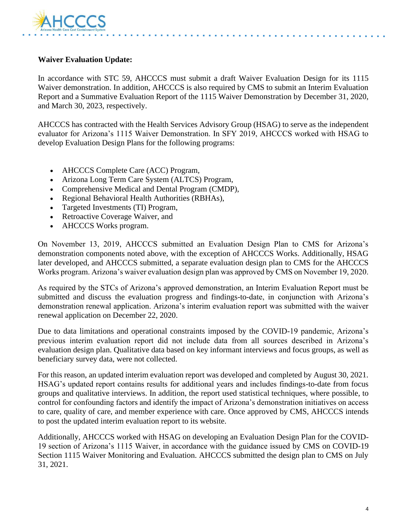

#### **Waiver Evaluation Update:**

In accordance with STC 59, AHCCCS must submit a draft Waiver Evaluation Design for its 1115 Waiver demonstration. In addition, AHCCCS is also required by CMS to submit an Interim Evaluation Report and a Summative Evaluation Report of the 1115 Waiver Demonstration by December 31, 2020, and March 30, 2023, respectively.

AHCCCS has contracted with the Health Services Advisory Group (HSAG) to serve as the independent evaluator for Arizona's 1115 Waiver Demonstration. In SFY 2019, AHCCCS worked with HSAG to develop Evaluation Design Plans for the following programs:

- AHCCCS Complete Care (ACC) Program,
- Arizona Long Term Care System (ALTCS) Program,
- Comprehensive Medical and Dental Program (CMDP),
- Regional Behavioral Health Authorities (RBHAs),
- Targeted Investments (TI) Program,
- Retroactive Coverage Waiver, and
- AHCCCS Works program.

On November 13, 2019, AHCCCS submitted an Evaluation Design Plan to CMS for Arizona's demonstration components noted above, with the exception of AHCCCS Works. Additionally, HSAG later developed, and AHCCCS submitted, a separate evaluation design plan to CMS for the AHCCCS Works program. Arizona's waiver evaluation design plan was approved by CMS on November 19, 2020.

As required by the STCs of Arizona's approved demonstration, an Interim Evaluation Report must be submitted and discuss the evaluation progress and findings-to-date, in conjunction with Arizona's demonstration renewal application. Arizona's interim evaluation report was submitted with the waiver renewal application on December 22, 2020.

Due to data limitations and operational constraints imposed by the COVID-19 pandemic, Arizona's previous interim evaluation report did not include data from all sources described in Arizona's evaluation design plan. Qualitative data based on key informant interviews and focus groups, as well as beneficiary survey data, were not collected.

For this reason, an updated interim evaluation report was developed and completed by August 30, 2021. HSAG's updated report contains results for additional years and includes findings-to-date from focus groups and qualitative interviews. In addition, the report used statistical techniques, where possible, to control for confounding factors and identify the impact of Arizona's demonstration initiatives on access to care, quality of care, and member experience with care. Once approved by CMS, AHCCCS intends to post the updated interim evaluation report to its website.

Additionally, AHCCCS worked with HSAG on developing an Evaluation Design Plan for the COVID-19 section of Arizona's 1115 Waiver, in accordance with the guidance issued by CMS on COVID-19 Section 1115 Waiver Monitoring and Evaluation. AHCCCS submitted the design plan to CMS on July 31, 2021.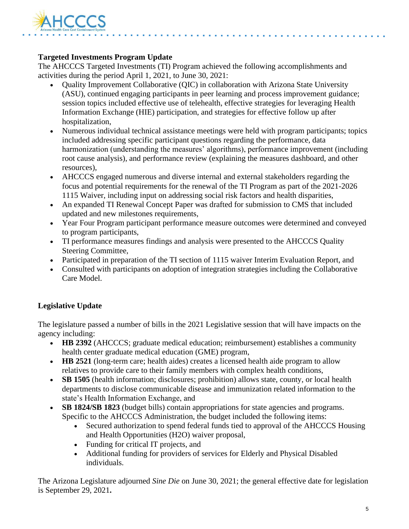

### **Targeted Investments Program Update**

The AHCCCS Targeted Investments (TI) Program achieved the following accomplishments and activities during the period April 1, 2021, to June 30, 2021:

- Quality Improvement Collaborative (QIC) in collaboration with Arizona State University (ASU), continued engaging participants in peer learning and process improvement guidance; session topics included effective use of telehealth, effective strategies for leveraging Health Information Exchange (HIE) participation, and strategies for effective follow up after hospitalization,
- Numerous individual technical assistance meetings were held with program participants; topics included addressing specific participant questions regarding the performance, data harmonization (understanding the measures' algorithms), performance improvement (including root cause analysis), and performance review (explaining the measures dashboard, and other resources),
- AHCCCS engaged numerous and diverse internal and external stakeholders regarding the focus and potential requirements for the renewal of the TI Program as part of the 2021-2026 1115 Waiver, including input on addressing social risk factors and health disparities,
- An expanded TI Renewal Concept Paper was drafted for submission to CMS that included updated and new milestones requirements,
- Year Four Program participant performance measure outcomes were determined and conveyed to program participants,
- TI performance measures findings and analysis were presented to the AHCCCS Quality Steering Committee,
- Participated in preparation of the TI section of 1115 waiver Interim Evaluation Report, and
- Consulted with participants on adoption of integration strategies including the Collaborative Care Model.

### **Legislative Update**

The legislature passed a number of bills in the 2021 Legislative session that will have impacts on the agency including:

- **HB 2392** (AHCCCS; graduate medical education; reimbursement) establishes a community health center graduate medical education (GME) program,
- **HB 2521** (long-term care; health aides) creates a licensed health aide program to allow relatives to provide care to their family members with complex health conditions,
- **SB 1505** (health information; disclosures; prohibition) allows state, county, or local health departments to disclose communicable disease and immunization related information to the state's Health Information Exchange, and
- **SB 1824/SB 1823** (budget bills) contain appropriations for state agencies and programs. Specific to the AHCCCS Administration, the budget included the following items:
	- Secured authorization to spend federal funds tied to approval of the AHCCCS Housing and Health Opportunities (H2O) waiver proposal,
	- Funding for critical IT projects, and
	- Additional funding for providers of services for Elderly and Physical Disabled individuals.

The Arizona Legislature adjourned *Sine Die* on June 30, 2021; the general effective date for legislation is September 29, 2021**.**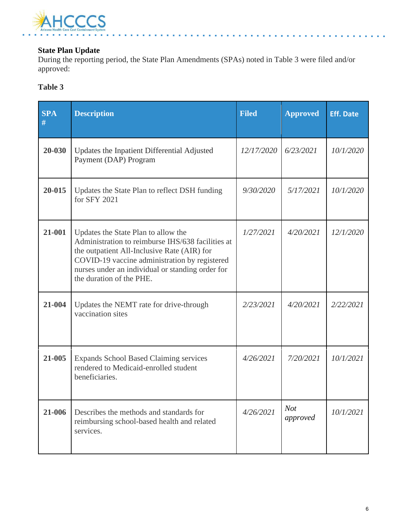

### **State Plan Update**

During the reporting period, the State Plan Amendments (SPAs) noted in Table 3 were filed and/or approved:

### **Table 3**

| <b>SPA</b><br># | <b>Description</b>                                                                                                                                                                                                                                                       | <b>Filed</b> | <b>Approved</b>        | <b>Eff. Date</b> |
|-----------------|--------------------------------------------------------------------------------------------------------------------------------------------------------------------------------------------------------------------------------------------------------------------------|--------------|------------------------|------------------|
| 20-030          | Updates the Inpatient Differential Adjusted<br>Payment (DAP) Program                                                                                                                                                                                                     | 12/17/2020   | 6/23/2021              | 10/1/2020        |
| 20-015          | Updates the State Plan to reflect DSH funding<br>for SFY 2021                                                                                                                                                                                                            | 9/30/2020    | 5/17/2021              | 10/1/2020        |
| 21-001          | Updates the State Plan to allow the<br>Administration to reimburse IHS/638 facilities at<br>the outpatient All-Inclusive Rate (AIR) for<br>COVID-19 vaccine administration by registered<br>nurses under an individual or standing order for<br>the duration of the PHE. | 1/27/2021    | 4/20/2021              | 12/1/2020        |
| 21-004          | Updates the NEMT rate for drive-through<br>vaccination sites                                                                                                                                                                                                             | 2/23/2021    | 4/20/2021              | 2/22/2021        |
| 21-005          | <b>Expands School Based Claiming services</b><br>rendered to Medicaid-enrolled student<br>beneficiaries.                                                                                                                                                                 | 4/26/2021    | 7/20/2021              | 10/1/2021        |
| 21-006          | Describes the methods and standards for<br>reimbursing school-based health and related<br>services.                                                                                                                                                                      | 4/26/2021    | <b>Not</b><br>approved | 10/1/2021        |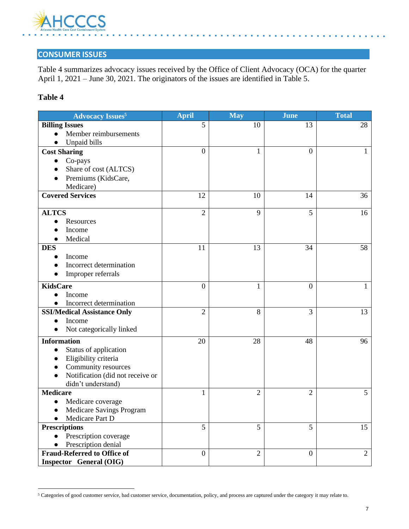

### **CONSUMER ISSUES**

Table 4 summarizes advocacy issues received by the Office of Client Advocacy (OCA) for the quarter April 1, 2021 – June 30, 2021. The originators of the issues are identified in Table 5.

#### **Table 4**

| Advocacy Issues <sup>5</sup>         | <b>April</b>   | May            | <b>June</b>    | <b>Total</b>   |
|--------------------------------------|----------------|----------------|----------------|----------------|
| <b>Billing Issues</b>                | 5              | 10             | 13             | 28             |
| Member reimbursements                |                |                |                |                |
| Unpaid bills                         |                |                |                |                |
| <b>Cost Sharing</b>                  | $\Omega$       | 1              | $\theta$       | 1              |
| Co-pays                              |                |                |                |                |
| Share of cost (ALTCS)                |                |                |                |                |
| Premiums (KidsCare,                  |                |                |                |                |
| Medicare)                            |                |                |                |                |
| <b>Covered Services</b>              | 12             | 10             | 14             | 36             |
| <b>ALTCS</b>                         | $\overline{2}$ | 9              | 5              | 16             |
| Resources                            |                |                |                |                |
| Income                               |                |                |                |                |
| Medical                              |                |                |                |                |
| <b>DES</b>                           | 11             | 13             | 34             | 58             |
| Income                               |                |                |                |                |
| Incorrect determination              |                |                |                |                |
| Improper referrals                   |                |                |                |                |
| <b>KidsCare</b>                      | $\overline{0}$ | 1              | $\overline{0}$ |                |
| Income                               |                |                |                |                |
| Incorrect determination<br>$\bullet$ |                |                |                |                |
| <b>SSI/Medical Assistance Only</b>   | $\overline{2}$ | 8              | $\overline{3}$ | 13             |
| Income                               |                |                |                |                |
| Not categorically linked             |                |                |                |                |
| <b>Information</b>                   | 20             | 28             | 48             | 96             |
| Status of application                |                |                |                |                |
| Eligibility criteria                 |                |                |                |                |
| Community resources                  |                |                |                |                |
| Notification (did not receive or     |                |                |                |                |
| didn't understand)                   |                |                |                |                |
| <b>Medicare</b>                      | 1              | $\overline{2}$ | $\overline{2}$ | 5              |
| Medicare coverage<br>$\bullet$       |                |                |                |                |
| Medicare Savings Program             |                |                |                |                |
| Medicare Part D                      |                |                |                |                |
| <b>Prescriptions</b>                 | 5              | 5              | 5              | 15             |
| Prescription coverage                |                |                |                |                |
| Prescription denial                  |                |                |                |                |
| <b>Fraud-Referred to Office of</b>   | $\overline{0}$ | $\overline{2}$ | $\overline{0}$ | $\overline{2}$ |
| Inspector General (OIG)              |                |                |                |                |

<sup>5</sup> Categories of good customer service, bad customer service, documentation, policy, and process are captured under the category it may relate to.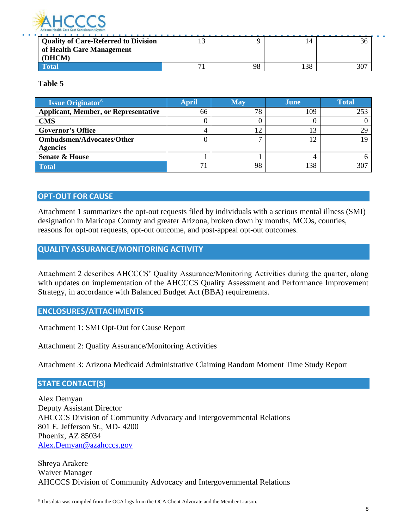

| Quality of Care-Referred to Division | $\sim$ |    | I 4 | 30  |
|--------------------------------------|--------|----|-----|-----|
| of Health Care Management            |        |    |     |     |
| (DHCM)                               |        |    |     |     |
|                                      |        | 98 | 138 | 307 |

**Table 5**

| <b>Issue Originator</b> <sup>6</sup>        | <b>April</b> | <b>May</b>      | June | <b>Total</b> |
|---------------------------------------------|--------------|-----------------|------|--------------|
| <b>Applicant, Member, or Representative</b> | 66           | 78              | 109  | 253          |
| <b>CMS</b>                                  |              |                 |      |              |
| <b>Governor's Office</b>                    |              | 1 $\mathcal{D}$ | າາ   | 29           |
| <b>Ombudsmen/Advocates/Other</b>            |              |                 | 1 າ  |              |
| <b>Agencies</b>                             |              |                 |      |              |
| <b>Senate &amp; House</b>                   |              |                 |      |              |
| Total                                       |              | 98              | 138  | 307          |

#### **OPT-OUT FOR CAUSE**

Attachment 1 summarizes the opt-out requests filed by individuals with a serious mental illness (SMI) designation in Maricopa County and greater Arizona, broken down by months, MCOs, counties, reasons for opt-out requests, opt-out outcome, and post-appeal opt-out outcomes.

#### **QUALITY ASSURANCE/MONITORING ACTIVITY**

Attachment 2 describes AHCCCS' Quality Assurance/Monitoring Activities during the quarter, along with updates on implementation of the AHCCCS Quality Assessment and Performance Improvement Strategy, in accordance with Balanced Budget Act (BBA) requirements.

#### **ENCLOSURES/ATTACHMENTS**

Attachment 1: SMI Opt-Out for Cause Report

Attachment 2: Quality Assurance/Monitoring Activities

Attachment 3: Arizona Medicaid Administrative Claiming Random Moment Time Study Report

#### **STATE CONTACT(S)**

Alex Demyan Deputy Assistant Director AHCCCS Division of Community Advocacy and Intergovernmental Relations 801 E. Jefferson St., MD- 4200 Phoenix, AZ 85034 [Alex.Demyan@azahcccs.gov](mailto:Alex.Demyan@azahcccs.gov)

Shreya Arakere Waiver Manager AHCCCS Division of Community Advocacy and Intergovernmental Relations

<sup>6</sup> This data was compiled from the OCA logs from the OCA Client Advocate and the Member Liaison.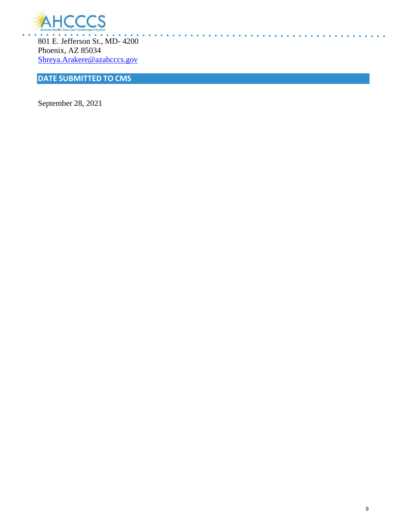

801 E. Jefferson St., MD- 4200 Phoenix, AZ 85034 [Shreya.Arakere@azahcccs.gov](mailto:Shreya.Arakere@azahcccs.gov)

# **DATE SUBMITTED TO CMS**

September 28, 2021

**ALCOHOL** 

**State State**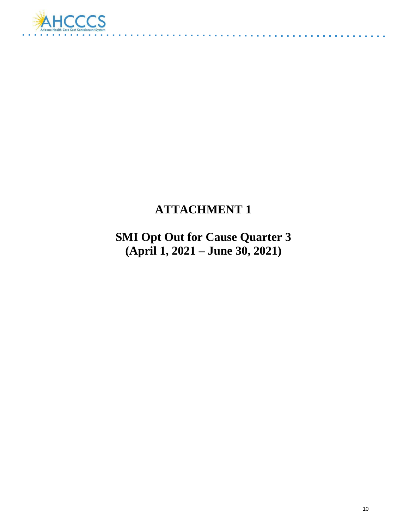

# **ATTACHMENT 1**

**SMI Opt Out for Cause Quarter 3 (April 1, 2021 – June 30, 2021)**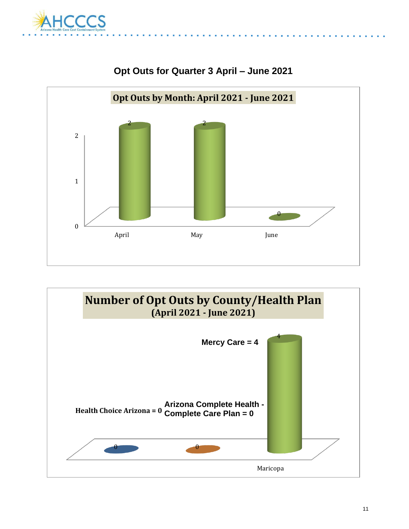



# **Opt Outs for Quarter 3 April – June 2021**

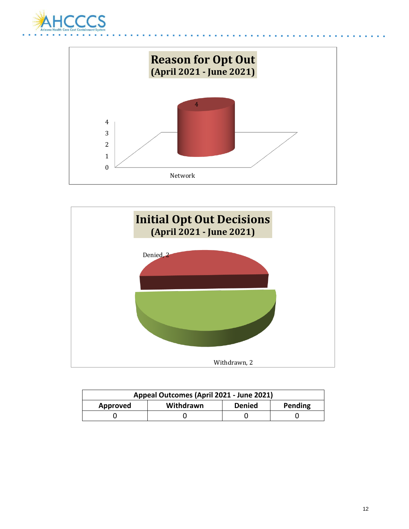





| Appeal Outcomes (April 2021 - June 2021)          |  |  |  |  |
|---------------------------------------------------|--|--|--|--|
| Withdrawn<br>Pending<br><b>Denied</b><br>Approved |  |  |  |  |
|                                                   |  |  |  |  |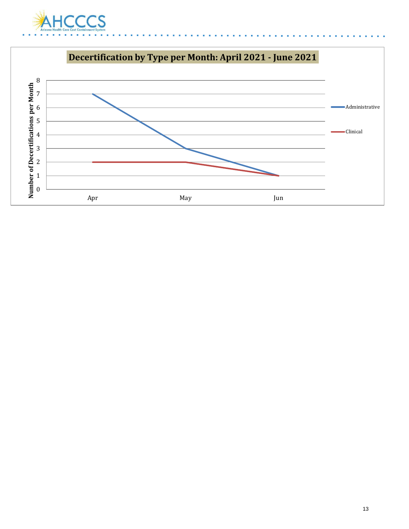

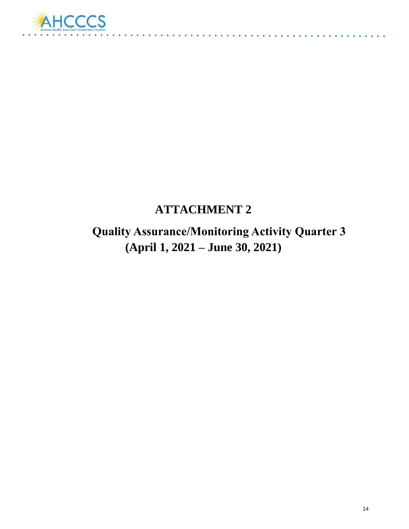

# **ATTACHMENT 2**

 **Quality Assurance/Monitoring Activity Quarter 3 (April 1, 2021 – June 30, 2021)**

. . . . . . . .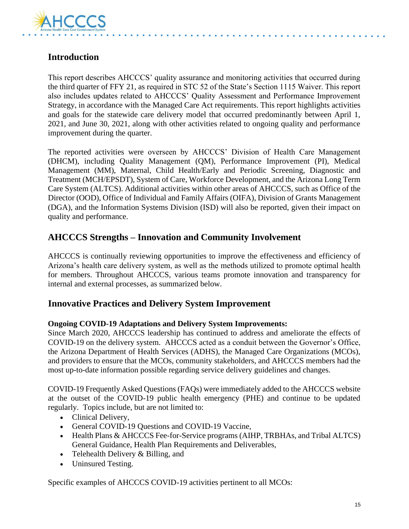

# **Introduction**

This report describes AHCCCS' quality assurance and monitoring activities that occurred during the third quarter of FFY 21, as required in STC 52 of the State's Section 1115 Waiver. This report also includes updates related to AHCCCS' Quality Assessment and Performance Improvement Strategy, in accordance with the Managed Care Act requirements. This report highlights activities and goals for the statewide care delivery model that occurred predominantly between April 1, 2021, and June 30, 2021, along with other activities related to ongoing quality and performance improvement during the quarter.

The reported activities were overseen by AHCCCS' Division of Health Care Management (DHCM), including Quality Management (QM), Performance Improvement (PI), Medical Management (MM), Maternal, Child Health/Early and Periodic Screening, Diagnostic and Treatment (MCH/EPSDT), System of Care, Workforce Development, and the Arizona Long Term Care System (ALTCS). Additional activities within other areas of AHCCCS, such as Office of the Director (OOD), Office of Individual and Family Affairs (OIFA), Division of Grants Management (DGA), and the Information Systems Division (ISD) will also be reported, given their impact on quality and performance.

# **AHCCCS Strengths – Innovation and Community Involvement**

AHCCCS is continually reviewing opportunities to improve the effectiveness and efficiency of Arizona's health care delivery system, as well as the methods utilized to promote optimal health for members. Throughout AHCCCS, various teams promote innovation and transparency for internal and external processes, as summarized below.

### **Innovative Practices and Delivery System Improvement**

#### **Ongoing COVID-19 Adaptations and Delivery System Improvements:**

Since March 2020, AHCCCS leadership has continued to address and ameliorate the effects of COVID-19 on the delivery system. AHCCCS acted as a conduit between the Governor's Office, the Arizona Department of Health Services (ADHS), the Managed Care Organizations (MCOs), and providers to ensure that the MCOs, community stakeholders, and AHCCCS members had the most up-to-date information possible regarding service delivery guidelines and changes.

COVID-19 Frequently Asked Questions (FAQs) were immediately added to the AHCCCS website at the outset of the COVID-19 public health emergency (PHE) and continue to be updated regularly. Topics include, but are not limited to:

- Clinical Delivery,
- General COVID-19 Questions and COVID-19 Vaccine,
- Health Plans & AHCCCS Fee-for-Service programs (AIHP, TRBHAs, and Tribal ALTCS) General Guidance, Health Plan Requirements and Deliverables,
- Telehealth Delivery & Billing, and
- Uninsured Testing.

Specific examples of AHCCCS COVID-19 activities pertinent to all MCOs: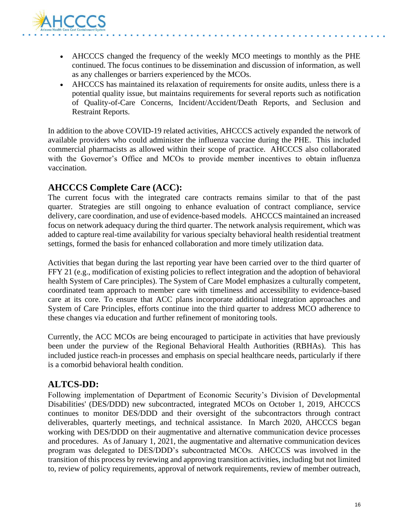

- AHCCCS changed the frequency of the weekly MCO meetings to monthly as the PHE continued. The focus continues to be dissemination and discussion of information, as well as any challenges or barriers experienced by the MCOs.
- AHCCCS has maintained its relaxation of requirements for onsite audits, unless there is a potential quality issue, but maintains requirements for several reports such as notification of Quality-of-Care Concerns, Incident/Accident/Death Reports, and Seclusion and Restraint Reports.

In addition to the above COVID-19 related activities, AHCCCS actively expanded the network of available providers who could administer the influenza vaccine during the PHE. This included commercial pharmacists as allowed within their scope of practice. AHCCCS also collaborated with the Governor's Office and MCOs to provide member incentives to obtain influenza vaccination.

# **AHCCCS Complete Care (ACC):**

The current focus with the integrated care contracts remains similar to that of the past quarter. Strategies are still ongoing to enhance evaluation of contract compliance, service delivery, care coordination, and use of evidence-based models. AHCCCS maintained an increased focus on network adequacy during the third quarter. The network analysis requirement, which was added to capture real-time availability for various specialty behavioral health residential treatment settings, formed the basis for enhanced collaboration and more timely utilization data.

Activities that began during the last reporting year have been carried over to the third quarter of FFY 21 (e.g., modification of existing policies to reflect integration and the adoption of behavioral health System of Care principles). The System of Care Model emphasizes a culturally competent, coordinated team approach to member care with timeliness and accessibility to evidence-based care at its core. To ensure that ACC plans incorporate additional integration approaches and System of Care Principles, efforts continue into the third quarter to address MCO adherence to these changes via education and further refinement of monitoring tools.

Currently, the ACC MCOs are being encouraged to participate in activities that have previously been under the purview of the Regional Behavioral Health Authorities (RBHAs). This has included justice reach-in processes and emphasis on special healthcare needs, particularly if there is a comorbid behavioral health condition.

# **ALTCS-DD:**

Following implementation of Department of Economic Security's Division of Developmental Disabilities' (DES/DDD) new subcontracted, integrated MCOs on October 1, 2019, AHCCCS continues to monitor DES/DDD and their oversight of the subcontractors through contract deliverables, quarterly meetings, and technical assistance. In March 2020, AHCCCS began working with DES/DDD on their augmentative and alternative communication device processes and procedures. As of January 1, 2021, the augmentative and alternative communication devices program was delegated to DES/DDD's subcontracted MCOs. AHCCCS was involved in the transition of this process by reviewing and approving transition activities, including but not limited to, review of policy requirements, approval of network requirements, review of member outreach,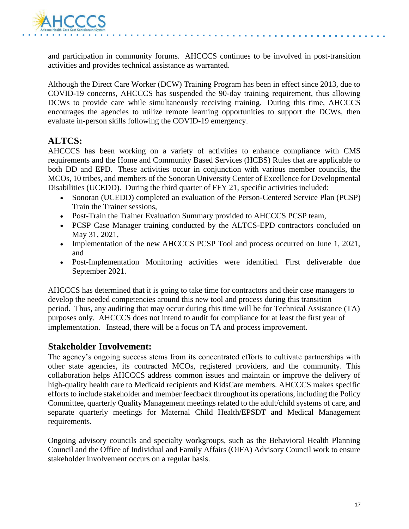

and participation in community forums. AHCCCS continues to be involved in post-transition activities and provides technical assistance as warranted.

Although the Direct Care Worker (DCW) Training Program has been in effect since 2013, due to COVID-19 concerns, AHCCCS has suspended the 90-day training requirement, thus allowing DCWs to provide care while simultaneously receiving training. During this time, AHCCCS encourages the agencies to utilize remote learning opportunities to support the DCWs, then evaluate in-person skills following the COVID-19 emergency.

# **ALTCS:**

AHCCCS has been working on a variety of activities to enhance compliance with CMS requirements and the Home and Community Based Services (HCBS) Rules that are applicable to both DD and EPD. These activities occur in conjunction with various member councils, the MCOs, 10 tribes, and members of the Sonoran University Center of Excellence for Developmental Disabilities (UCEDD). During the third quarter of FFY 21, specific activities included:

- Sonoran (UCEDD) completed an evaluation of the Person-Centered Service Plan (PCSP) Train the Trainer sessions,
- Post-Train the Trainer Evaluation Summary provided to AHCCCS PCSP team,
- PCSP Case Manager training conducted by the ALTCS-EPD contractors concluded on May 31, 2021,
- Implementation of the new AHCCCS PCSP Tool and process occurred on June 1, 2021, and
- Post-Implementation Monitoring activities were identified. First deliverable due September 2021.

AHCCCS has determined that it is going to take time for contractors and their case managers to develop the needed competencies around this new tool and process during this transition period. Thus, any auditing that may occur during this time will be for Technical Assistance (TA) purposes only. AHCCCS does not intend to audit for compliance for at least the first year of implementation. Instead, there will be a focus on TA and process improvement.

### **Stakeholder Involvement:**

The agency's ongoing success stems from its concentrated efforts to cultivate partnerships with other state agencies, its contracted MCOs, registered providers, and the community. This collaboration helps AHCCCS address common issues and maintain or improve the delivery of high-quality health care to Medicaid recipients and KidsCare members. AHCCCS makes specific efforts to include stakeholder and member feedback throughout its operations, including the Policy Committee, quarterly Quality Management meetings related to the adult/child systems of care, and separate quarterly meetings for Maternal Child Health/EPSDT and Medical Management requirements.

Ongoing advisory councils and specialty workgroups, such as the Behavioral Health Planning Council and the Office of Individual and Family Affairs (OIFA) Advisory Council work to ensure stakeholder involvement occurs on a regular basis.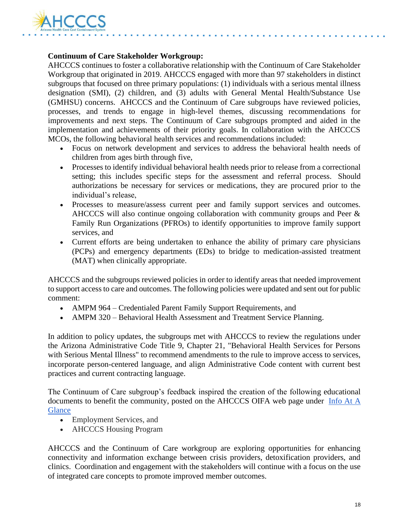

#### **Continuum of Care Stakeholder Workgroup:**

AHCCCS continues to foster a collaborative relationship with the Continuum of Care Stakeholder Workgroup that originated in 2019. AHCCCS engaged with more than 97 stakeholders in distinct subgroups that focused on three primary populations: (1) individuals with a serious mental illness designation (SMI), (2) children, and (3) adults with General Mental Health/Substance Use (GMHSU) concerns. AHCCCS and the Continuum of Care subgroups have reviewed policies, processes, and trends to engage in high-level themes, discussing recommendations for improvements and next steps. The Continuum of Care subgroups prompted and aided in the implementation and achievements of their priority goals. In collaboration with the AHCCCS MCOs, the following behavioral health services and recommendations included:

- Focus on network development and services to address the behavioral health needs of children from ages birth through five,
- Processes to identify individual behavioral health needs prior to release from a correctional setting; this includes specific steps for the assessment and referral process. Should authorizations be necessary for services or medications, they are procured prior to the individual's release,
- Processes to measure/assess current peer and family support services and outcomes. AHCCCS will also continue ongoing collaboration with community groups and Peer & Family Run Organizations (PFROs) to identify opportunities to improve family support services, and
- Current efforts are being undertaken to enhance the ability of primary care physicians (PCPs) and emergency departments (EDs) to bridge to medication-assisted treatment (MAT) when clinically appropriate.

AHCCCS and the subgroups reviewed policies in order to identify areas that needed improvement to support access to care and outcomes. The following policies were updated and sent out for public comment:

- AMPM 964 Credentialed Parent Family Support Requirements, and
- AMPM 320 Behavioral Health Assessment and Treatment Service Planning.

In addition to policy updates, the subgroups met with AHCCCS to review the regulations under the Arizona Administrative Code Title 9, Chapter 21, "Behavioral Health Services for Persons with Serious Mental Illness" to recommend amendments to the rule to improve access to services, incorporate person-centered language, and align Administrative Code content with current best practices and current contracting language.

The Continuum of Care subgroup's feedback inspired the creation of the following educational documents to benefit the community, posted on the AHCCCS OIFA web page under [Info At A](https://www.azahcccs.gov/AHCCCS/HealthcareAdvocacy/OIFA.html)  **[Glance](https://www.azahcccs.gov/AHCCCS/HealthcareAdvocacy/OIFA.html)** 

- Employment Services, and
- AHCCCS Housing Program

AHCCCS and the Continuum of Care workgroup are exploring opportunities for enhancing connectivity and information exchange between crisis providers, detoxification providers, and clinics. Coordination and engagement with the stakeholders will continue with a focus on the use of integrated care concepts to promote improved member outcomes.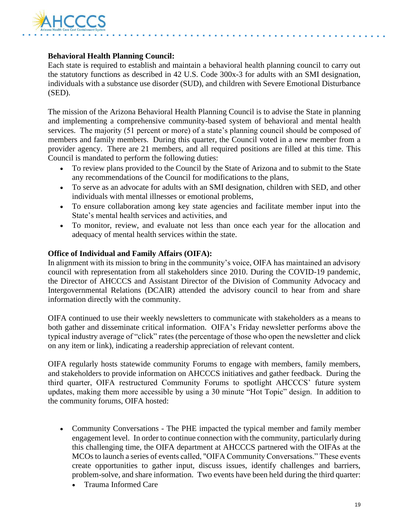

#### **Behavioral Health Planning Council:**

Each state is required to establish and maintain a behavioral health planning council to carry out the statutory functions as described in 42 U.S. Code 300x-3 for adults with an SMI designation, individuals with a substance use disorder (SUD), and children with Severe Emotional Disturbance (SED).

The mission of the Arizona Behavioral Health Planning Council is to advise the State in planning and implementing a comprehensive community-based system of behavioral and mental health services. The majority (51 percent or more) of a state's planning council should be composed of members and family members. During this quarter, the Council voted in a new member from a provider agency. There are 21 members, and all required positions are filled at this time. This Council is mandated to perform the following duties:

- To review plans provided to the Council by the State of Arizona and to submit to the State any recommendations of the Council for modifications to the plans,
- To serve as an advocate for adults with an SMI designation, children with SED, and other individuals with mental illnesses or emotional problems,
- To ensure collaboration among key state agencies and facilitate member input into the State's mental health services and activities, and
- To monitor, review, and evaluate not less than once each year for the allocation and adequacy of mental health services within the state.

#### **Office of Individual and Family Affairs (OIFA):**

In alignment with its mission to bring in the community's voice, OIFA has maintained an advisory council with representation from all stakeholders since 2010. During the COVID-19 pandemic, the Director of AHCCCS and Assistant Director of the Division of Community Advocacy and Intergovernmental Relations (DCAIR) attended the advisory council to hear from and share information directly with the community.

OIFA continued to use their weekly newsletters to communicate with stakeholders as a means to both gather and disseminate critical information. OIFA's Friday newsletter performs above the typical industry average of "click" rates (the percentage of those who open the newsletter and click on any item or link), indicating a readership appreciation of relevant content.

OIFA regularly hosts statewide community Forums to engage with members, family members, and stakeholders to provide information on AHCCCS initiatives and gather feedback. During the third quarter, OIFA restructured Community Forums to spotlight AHCCCS' future system updates, making them more accessible by using a 30 minute "Hot Topic" design. In addition to the community forums, OIFA hosted:

- Community Conversations The PHE impacted the typical member and family member engagement level. In order to continue connection with the community, particularly during this challenging time, the OIFA department at AHCCCS partnered with the OIFAs at the MCOs to launch a series of events called, "OIFA Community Conversations." These events create opportunities to gather input, discuss issues, identify challenges and barriers, problem-solve, and share information. Two events have been held during the third quarter:
	- Trauma Informed Care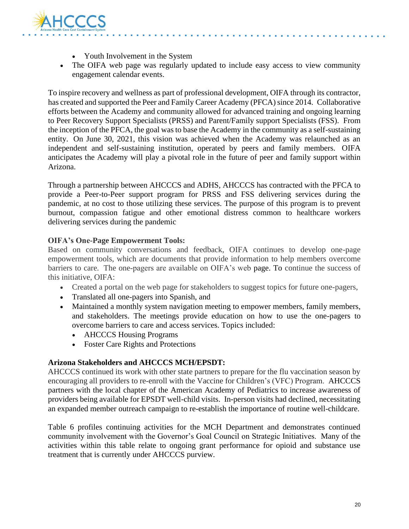

- Youth Involvement in the System
- The OIFA web page was regularly updated to include easy access to view community engagement calendar events.

To inspire recovery and wellness as part of professional development, OIFA through its contractor, has created and supported the Peer and Family Career Academy (PFCA) since 2014. Collaborative efforts between the Academy and community allowed for advanced training and ongoing learning to Peer Recovery Support Specialists (PRSS) and Parent/Family support Specialists (FSS). From the inception of the PFCA, the goal was to base the Academy in the community as a self-sustaining entity. On June 30, 2021, this vision was achieved when the Academy was relaunched as an independent and self-sustaining institution, operated by peers and family members. OIFA anticipates the Academy will play a pivotal role in the future of peer and family support within Arizona.

Through a partnership between AHCCCS and ADHS, AHCCCS has contracted with the PFCA to provide a Peer-to-Peer support program for PRSS and FSS delivering services during the pandemic, at no cost to those utilizing these services. The purpose of this program is to prevent burnout, compassion fatigue and other emotional distress common to healthcare workers delivering services during the pandemic

#### **OIFA's One-Page Empowerment Tools:**

Based on community conversations and feedback, OIFA continues to develop one-page empowerment tools, which are documents that provide information to help members overcome barriers to care. The one-pagers are available on OIFA's web page. To continue the success of this initiative, OIFA:

- Created a portal on the web page for stakeholders to suggest topics for future one-pagers,
- Translated all one-pagers into Spanish, and
- Maintained a monthly system navigation meeting to empower members, family members, and stakeholders. The meetings provide education on how to use the one-pagers to overcome barriers to care and access services. Topics included:
	- AHCCCS Housing Programs
	- Foster Care Rights and Protections

#### **Arizona Stakeholders and AHCCCS MCH/EPSDT:**

AHCCCS continued its work with other state partners to prepare for the flu vaccination season by encouraging all providers to re-enroll with the Vaccine for Children's (VFC) Program. AHCCCS partners with the local chapter of the American Academy of Pediatrics to increase awareness of providers being available for EPSDT well-child visits. In-person visits had declined, necessitating an expanded member outreach campaign to re-establish the importance of routine well-childcare.

Table 6 profiles continuing activities for the MCH Department and demonstrates continued community involvement with the Governor's Goal Council on Strategic Initiatives. Many of the activities within this table relate to ongoing grant performance for opioid and substance use treatment that is currently under AHCCCS purview.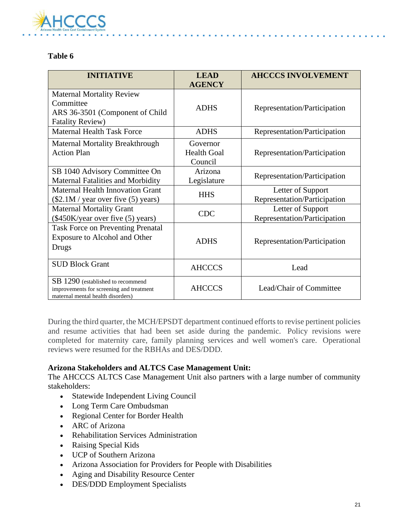

#### **Table 6**

| <b>INITIATIVE</b>                                                                                                  | <b>LEAD</b><br><b>AGENCY</b>              | <b>AHCCCS INVOLVEMENT</b>                         |
|--------------------------------------------------------------------------------------------------------------------|-------------------------------------------|---------------------------------------------------|
| <b>Maternal Mortality Review</b><br>Committee<br>ARS 36-3501 (Component of Child<br><b>Fatality Review)</b>        | <b>ADHS</b>                               | Representation/Participation                      |
| <b>Maternal Health Task Force</b>                                                                                  | <b>ADHS</b>                               | Representation/Participation                      |
| <b>Maternal Mortality Breakthrough</b><br><b>Action Plan</b>                                                       | Governor<br><b>Health Goal</b><br>Council | Representation/Participation                      |
| SB 1040 Advisory Committee On<br><b>Maternal Fatalities and Morbidity</b>                                          | Arizona<br>Legislature                    | Representation/Participation                      |
| Maternal Health Innovation Grant<br>(\$2.1M / year over five (5) years)                                            | <b>HHS</b>                                | Letter of Support<br>Representation/Participation |
| <b>Maternal Mortality Grant</b><br>(\$450K/year over five (5) years)                                               | <b>CDC</b>                                | Letter of Support<br>Representation/Participation |
| <b>Task Force on Preventing Prenatal</b><br>Exposure to Alcohol and Other<br>Drugs                                 | <b>ADHS</b>                               | Representation/Participation                      |
| <b>SUD Block Grant</b>                                                                                             | <b>AHCCCS</b>                             | Lead                                              |
| SB 1290 (established to recommend<br>improvements for screening and treatment<br>maternal mental health disorders) | <b>AHCCCS</b>                             | Lead/Chair of Committee                           |

During the third quarter, the MCH/EPSDT department continued efforts to revise pertinent policies and resume activities that had been set aside during the pandemic. Policy revisions were completed for maternity care, family planning services and well women's care. Operational reviews were resumed for the RBHAs and DES/DDD.

#### **Arizona Stakeholders and ALTCS Case Management Unit:**

The AHCCCS ALTCS Case Management Unit also partners with a large number of community stakeholders:

- Statewide Independent Living Council
- Long Term Care Ombudsman
- Regional Center for Border Health
- ARC of Arizona
- Rehabilitation Services Administration
- Raising Special Kids
- UCP of Southern Arizona
- Arizona Association for Providers for People with Disabilities
- Aging and Disability Resource Center
- DES/DDD Employment Specialists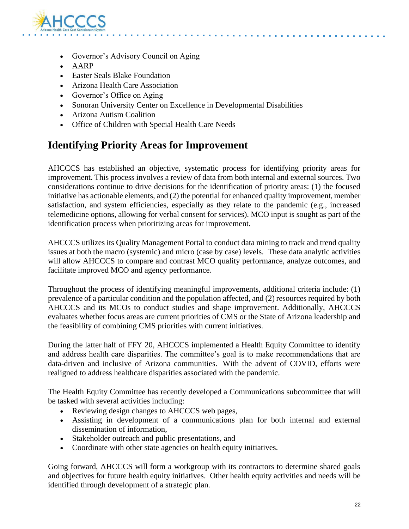

- Governor's Advisory Council on Aging
- AARP
- Easter Seals Blake Foundation
- Arizona Health Care Association
- Governor's Office on Aging
- Sonoran University Center on Excellence in Developmental Disabilities
- Arizona Autism Coalition
- Office of Children with Special Health Care Needs

# **Identifying Priority Areas for Improvement**

AHCCCS has established an objective, systematic process for identifying priority areas for improvement. This process involves a review of data from both internal and external sources. Two considerations continue to drive decisions for the identification of priority areas: (1) the focused initiative has actionable elements, and (2) the potential for enhanced quality improvement, member satisfaction, and system efficiencies, especially as they relate to the pandemic (e.g., increased telemedicine options, allowing for verbal consent for services). MCO input is sought as part of the identification process when prioritizing areas for improvement.

AHCCCS utilizes its Quality Management Portal to conduct data mining to track and trend quality issues at both the macro (systemic) and micro (case by case) levels. These data analytic activities will allow AHCCCS to compare and contrast MCO quality performance, analyze outcomes, and facilitate improved MCO and agency performance.

Throughout the process of identifying meaningful improvements, additional criteria include: (1) prevalence of a particular condition and the population affected, and (2) resources required by both AHCCCS and its MCOs to conduct studies and shape improvement. Additionally, AHCCCS evaluates whether focus areas are current priorities of CMS or the State of Arizona leadership and the feasibility of combining CMS priorities with current initiatives.

During the latter half of FFY 20, AHCCCS implemented a Health Equity Committee to identify and address health care disparities. The committee's goal is to make recommendations that are data-driven and inclusive of Arizona communities. With the advent of COVID, efforts were realigned to address healthcare disparities associated with the pandemic.

The Health Equity Committee has recently developed a Communications subcommittee that will be tasked with several activities including:

- Reviewing design changes to AHCCCS web pages,
- Assisting in development of a communications plan for both internal and external dissemination of information,
- Stakeholder outreach and public presentations, and
- Coordinate with other state agencies on health equity initiatives.

Going forward, AHCCCS will form a workgroup with its contractors to determine shared goals and objectives for future health equity initiatives. Other health equity activities and needs will be identified through development of a strategic plan.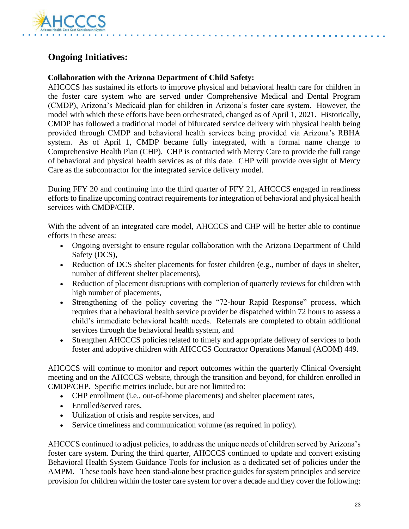

# **Ongoing Initiatives:**

#### **Collaboration with the Arizona Department of Child Safety:**

AHCCCS has sustained its efforts to improve physical and behavioral health care for children in the foster care system who are served under Comprehensive Medical and Dental Program (CMDP), Arizona's Medicaid plan for children in Arizona's foster care system. However, the model with which these efforts have been orchestrated, changed as of April 1, 2021. Historically, CMDP has followed a traditional model of bifurcated service delivery with physical health being provided through CMDP and behavioral health services being provided via Arizona's RBHA system. As of April 1, CMDP became fully integrated, with a formal name change to Comprehensive Health Plan (CHP). CHP is contracted with Mercy Care to provide the full range of behavioral and physical health services as of this date. CHP will provide oversight of Mercy Care as the subcontractor for the integrated service delivery model.

During FFY 20 and continuing into the third quarter of FFY 21, AHCCCS engaged in readiness efforts to finalize upcoming contract requirements for integration of behavioral and physical health services with CMDP/CHP.

With the advent of an integrated care model, AHCCCS and CHP will be better able to continue efforts in these areas:

- Ongoing oversight to ensure regular collaboration with the Arizona Department of Child Safety (DCS),
- Reduction of DCS shelter placements for foster children (e.g., number of days in shelter, number of different shelter placements),
- Reduction of placement disruptions with completion of quarterly reviews for children with high number of placements,
- Strengthening of the policy covering the "72-hour Rapid Response" process, which requires that a behavioral health service provider be dispatched within 72 hours to assess a child's immediate behavioral health needs. Referrals are completed to obtain additional services through the behavioral health system, and
- Strengthen AHCCCS policies related to timely and appropriate delivery of services to both foster and adoptive children with AHCCCS Contractor Operations Manual (ACOM) 449.

AHCCCS will continue to monitor and report outcomes within the quarterly Clinical Oversight meeting and on the AHCCCS website, through the transition and beyond, for children enrolled in CMDP/CHP. Specific metrics include, but are not limited to:

- CHP enrollment (i.e., out-of-home placements) and shelter placement rates,
- Enrolled/served rates,
- Utilization of crisis and respite services, and
- Service timeliness and communication volume (as required in policy).

AHCCCS continued to adjust policies, to address the unique needs of children served by Arizona's foster care system. During the third quarter, AHCCCS continued to update and convert existing Behavioral Health System Guidance Tools for inclusion as a dedicated set of policies under the AMPM. These tools have been stand-alone best practice guides for system principles and service provision for children within the foster care system for over a decade and they cover the following: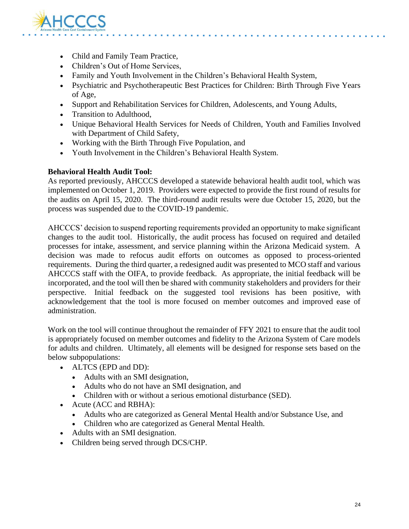

- Child and Family Team Practice,
- Children's Out of Home Services,
- Family and Youth Involvement in the Children's Behavioral Health System,
- Psychiatric and Psychotherapeutic Best Practices for Children: Birth Through Five Years of Age,
- Support and Rehabilitation Services for Children, Adolescents, and Young Adults,
- Transition to Adulthood,
- Unique Behavioral Health Services for Needs of Children, Youth and Families Involved with Department of Child Safety,
- Working with the Birth Through Five Population, and
- Youth Involvement in the Children's Behavioral Health System.

#### **Behavioral Health Audit Tool:**

As reported previously, AHCCCS developed a statewide behavioral health audit tool, which was implemented on October 1, 2019. Providers were expected to provide the first round of results for the audits on April 15, 2020. The third-round audit results were due October 15, 2020, but the process was suspended due to the COVID-19 pandemic.

AHCCCS' decision to suspend reporting requirements provided an opportunity to make significant changes to the audit tool. Historically, the audit process has focused on required and detailed processes for intake, assessment, and service planning within the Arizona Medicaid system. A decision was made to refocus audit efforts on outcomes as opposed to process-oriented requirements. During the third quarter, a redesigned audit was presented to MCO staff and various AHCCCS staff with the OIFA, to provide feedback. As appropriate, the initial feedback will be incorporated, and the tool will then be shared with community stakeholders and providers for their perspective. Initial feedback on the suggested tool revisions has been positive, with acknowledgement that the tool is more focused on member outcomes and improved ease of administration.

Work on the tool will continue throughout the remainder of FFY 2021 to ensure that the audit tool is appropriately focused on member outcomes and fidelity to the Arizona System of Care models for adults and children. Ultimately, all elements will be designed for response sets based on the below subpopulations:

- ALTCS (EPD and DD):
	- Adults with an SMI designation,
	- Adults who do not have an SMI designation, and
	- Children with or without a serious emotional disturbance (SED).
- Acute (ACC and RBHA):
	- Adults who are categorized as General Mental Health and/or Substance Use, and
	- Children who are categorized as General Mental Health.
- Adults with an SMI designation.
- Children being served through DCS/CHP.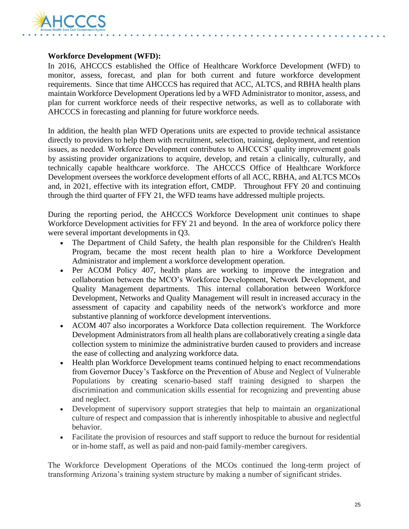

#### **Workforce Development (WFD):**

In 2016, AHCCCS established the Office of Healthcare Workforce Development (WFD) to monitor, assess, forecast, and plan for both current and future workforce development requirements. Since that time AHCCCS has required that ACC, ALTCS, and RBHA health plans maintain Workforce Development Operations led by a WFD Administrator to monitor, assess, and plan for current workforce needs of their respective networks, as well as to collaborate with AHCCCS in forecasting and planning for future workforce needs.

In addition, the health plan WFD Operations units are expected to provide technical assistance directly to providers to help them with recruitment, selection, training, deployment, and retention issues, as needed. Workforce Development contributes to AHCCCS' quality improvement goals by assisting provider organizations to acquire, develop, and retain a clinically, culturally, and technically capable healthcare workforce. The AHCCCS Office of Healthcare Workforce Development oversees the workforce development efforts of all ACC, RBHA, and ALTCS MCOs and, in 2021, effective with its integration effort, CMDP. Throughout FFY 20 and continuing through the third quarter of FFY 21, the WFD teams have addressed multiple projects.

During the reporting period, the AHCCCS Workforce Development unit continues to shape Workforce Development activities for FFY 21 and beyond. In the area of workforce policy there were several important developments in Q3.

- The Department of Child Safety, the health plan responsible for the Children's Health Program, became the most recent health plan to hire a Workforce Development Administrator and implement a workforce development operation.
- Per ACOM Policy 407, health plans are working to improve the integration and collaboration between the MCO's Workforce Development, Network Development, and Quality Management departments. This internal collaboration between Workforce Development, Networks and Quality Management will result in increased accuracy in the assessment of capacity and capability needs of the network's workforce and more substantive planning of workforce development interventions.
- ACOM 407 also incorporates a Workforce Data collection requirement. The Workforce Development Administrators from all health plans are collaboratively creating a single data collection system to minimize the administrative burden caused to providers and increase the ease of collecting and analyzing workforce data.
- Health plan Workforce Development teams continued helping to enact recommendations from Governor Ducey's Taskforce on the Prevention of Abuse and Neglect of Vulnerable Populations by creating scenario-based staff training designed to sharpen the discrimination and communication skills essential for recognizing and preventing abuse and neglect.
- Development of supervisory support strategies that help to maintain an organizational culture of respect and compassion that is inherently inhospitable to abusive and neglectful behavior.
- Facilitate the provision of resources and staff support to reduce the burnout for residential or in-home staff, as well as paid and non-paid family-member caregivers.

The Workforce Development Operations of the MCOs continued the long-term project of transforming Arizona's training system structure by making a number of significant strides.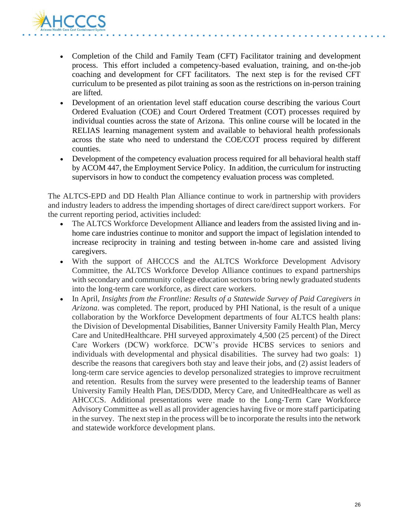

- Completion of the Child and Family Team (CFT) Facilitator training and development process. This effort included a competency-based evaluation, training, and on-the-job coaching and development for CFT facilitators. The next step is for the revised CFT curriculum to be presented as pilot training as soon as the restrictions on in-person training are lifted.
- Development of an orientation level staff education course describing the various Court Ordered Evaluation (COE) and Court Ordered Treatment (COT) processes required by individual counties across the state of Arizona. This online course will be located in the RELIAS learning management system and available to behavioral health professionals across the state who need to understand the COE/COT process required by different counties.
- Development of the competency evaluation process required for all behavioral health staff by ACOM 447, the Employment Service Policy. In addition, the curriculum for instructing supervisors in how to conduct the competency evaluation process was completed.

The ALTCS-EPD and DD Health Plan Alliance continue to work in partnership with providers and industry leaders to address the impending shortages of direct care/direct support workers. For the current reporting period, activities included:

- The ALTCS Workforce Development Alliance and leaders from the assisted living and inhome care industries continue to monitor and support the impact of legislation intended to increase reciprocity in training and testing between in-home care and assisted living caregivers.
- With the support of AHCCCS and the ALTCS Workforce Development Advisory Committee, the ALTCS Workforce Develop Alliance continues to expand partnerships with secondary and community college education sectors to bring newly graduated students into the long-term care workforce, as direct care workers.
- In April, *Insights from the Frontline: Results of a Statewide Survey of Paid Caregivers in Arizona*. was completed. The report, produced by PHI National, is the result of a unique collaboration by the Workforce Development departments of four ALTCS health plans: the Division of Developmental Disabilities, Banner University Family Health Plan, Mercy Care and UnitedHealthcare. PHI surveyed approximately 4,500 (25 percent) of the Direct Care Workers (DCW) workforce. DCW's provide HCBS services to seniors and individuals with developmental and physical disabilities. The survey had two goals: 1) describe the reasons that caregivers both stay and leave their jobs, and (2) assist leaders of long-term care service agencies to develop personalized strategies to improve recruitment and retention. Results from the survey were presented to the leadership teams of Banner University Family Health Plan, DES/DDD, Mercy Care, and UnitedHealthcare as well as AHCCCS. Additional presentations were made to the Long-Term Care Workforce Advisory Committee as well as all provider agencies having five or more staff participating in the survey. The next step in the process will be to incorporate the results into the network and statewide workforce development plans.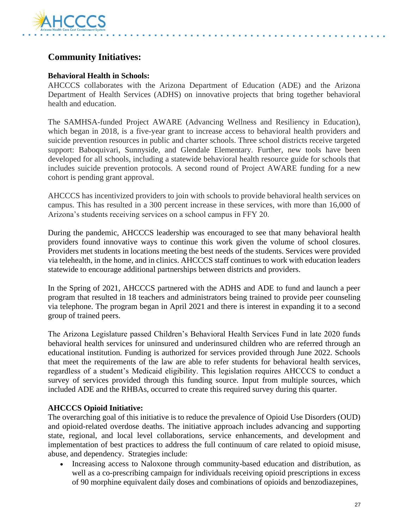

# **Community Initiatives:**

#### **Behavioral Health in Schools:**

AHCCCS collaborates with the Arizona Department of Education (ADE) and the Arizona Department of Health Services (ADHS) on innovative projects that bring together behavioral health and education.

The SAMHSA-funded Project AWARE (Advancing Wellness and Resiliency in Education), which began in 2018, is a five-year grant to increase access to behavioral health providers and suicide prevention resources in public and charter schools. Three school districts receive targeted support: Baboquivari, Sunnyside, and Glendale Elementary. Further, new tools have been developed for all schools, including a statewide behavioral health resource guide for schools that includes suicide prevention protocols. A second round of Project AWARE funding for a new cohort is pending grant approval.

AHCCCS has incentivized providers to join with schools to provide behavioral health services on campus. This has resulted in a 300 percent increase in these services, with more than 16,000 of Arizona's students receiving services on a school campus in FFY 20.

During the pandemic, AHCCCS leadership was encouraged to see that many behavioral health providers found innovative ways to continue this work given the volume of school closures. Providers met students in locations meeting the best needs of the students. Services were provided via telehealth, in the home, and in clinics. AHCCCS staff continues to work with education leaders statewide to encourage additional partnerships between districts and providers.

In the Spring of 2021, AHCCCS partnered with the ADHS and ADE to fund and launch a peer program that resulted in 18 teachers and administrators being trained to provide peer counseling via telephone. The program began in April 2021 and there is interest in expanding it to a second group of trained peers.

The Arizona Legislature passed Children's Behavioral Health Services Fund in late 2020 funds behavioral health services for uninsured and underinsured children who are referred through an educational institution. Funding is authorized for services provided through June 2022. Schools that meet the requirements of the law are able to refer students for behavioral health services, regardless of a student's Medicaid eligibility. This legislation requires AHCCCS to conduct a survey of services provided through this funding source. Input from multiple sources, which included ADE and the RHBAs, occurred to create this required survey during this quarter.

#### **AHCCCS Opioid Initiative:**

The overarching goal of this initiative is to reduce the prevalence of Opioid Use Disorders (OUD) and opioid-related overdose deaths. The initiative approach includes advancing and supporting state, regional, and local level collaborations, service enhancements, and development and implementation of best practices to address the full continuum of care related to opioid misuse, abuse, and dependency. Strategies include:

• Increasing access to Naloxone through community-based education and distribution, as well as a co-prescribing campaign for individuals receiving opioid prescriptions in excess of 90 morphine equivalent daily doses and combinations of opioids and benzodiazepines,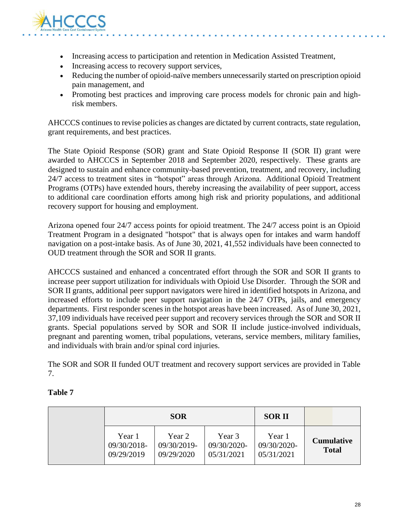

- Increasing access to participation and retention in Medication Assisted Treatment,
- Increasing access to recovery support services,
- Reducing the number of opioid-naïve members unnecessarily started on prescription opioid pain management, and
- Promoting best practices and improving care process models for chronic pain and highrisk members.

AHCCCS continues to revise policies as changes are dictated by current contracts, state regulation, grant requirements, and best practices.

The State Opioid Response (SOR) grant and State Opioid Response II (SOR II) grant were awarded to AHCCCS in September 2018 and September 2020, respectively. These grants are designed to sustain and enhance community-based prevention, treatment, and recovery, including 24/7 access to treatment sites in "hotspot" areas through Arizona. Additional Opioid Treatment Programs (OTPs) have extended hours, thereby increasing the availability of peer support, access to additional care coordination efforts among high risk and priority populations, and additional recovery support for housing and employment.

Arizona opened four 24/7 access points for opioid treatment. The 24/7 access point is an Opioid Treatment Program in a designated "hotspot" that is always open for intakes and warm handoff navigation on a post-intake basis. As of June 30, 2021, 41,552 individuals have been connected to OUD treatment through the SOR and SOR II grants.

AHCCCS sustained and enhanced a concentrated effort through the SOR and SOR II grants to increase peer support utilization for individuals with Opioid Use Disorder. Through the SOR and SOR II grants, additional peer support navigators were hired in identified hotspots in Arizona, and increased efforts to include peer support navigation in the 24/7 OTPs, jails, and emergency departments. First responder scenes in the hotspot areas have been increased. As of June 30, 2021, 37,109 individuals have received peer support and recovery services through the SOR and SOR II grants. Special populations served by SOR and SOR II include justice-involved individuals, pregnant and parenting women, tribal populations, veterans, service members, military families, and individuals with brain and/or spinal cord injuries.

The SOR and SOR II funded OUT treatment and recovery support services are provided in Table 7.

#### **Table 7**

| <b>SOR</b>                          |                                     |                                     | <b>SORII</b>                        |                                   |
|-------------------------------------|-------------------------------------|-------------------------------------|-------------------------------------|-----------------------------------|
| Year 1<br>09/30/2018-<br>09/29/2019 | Year 2<br>09/30/2019-<br>09/29/2020 | Year 3<br>09/30/2020-<br>05/31/2021 | Year 1<br>09/30/2020-<br>05/31/2021 | <b>Cumulative</b><br><b>Total</b> |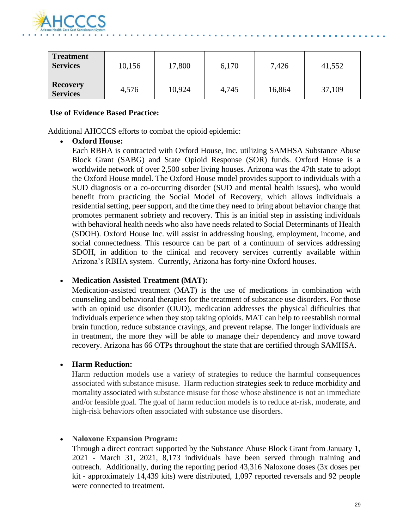

| <b>Treatment</b><br><b>Services</b> | 10,156 | 17,800 | 6,170 | 7,426  | 41,552 |
|-------------------------------------|--------|--------|-------|--------|--------|
| <b>Recovery</b><br><b>Services</b>  | 4,576  | 10,924 | 4,745 | 16,864 | 37,109 |

#### **Use of Evidence Based Practice:**

Additional AHCCCS efforts to combat the opioid epidemic:

#### • **Oxford House:**

Each RBHA is contracted with Oxford House, Inc. utilizing SAMHSA Substance Abuse Block Grant (SABG) and State Opioid Response (SOR) funds. Oxford House is a worldwide network of over 2,500 sober living houses. Arizona was the 47th state to adopt the Oxford House model. The Oxford House model provides support to individuals with a SUD diagnosis or a co-occurring disorder (SUD and mental health issues), who would benefit from practicing the Social Model of Recovery, which allows individuals a residential setting, peer support, and the time they need to bring about behavior change that promotes permanent sobriety and recovery. This is an initial step in assisting individuals with behavioral health needs who also have needs related to Social Determinants of Health (SDOH). Oxford House Inc. will assist in addressing housing, employment, income, and social connectedness. This resource can be part of a continuum of services addressing SDOH, in addition to the clinical and recovery services currently available within Arizona's RBHA system. Currently, Arizona has forty-nine Oxford houses.

#### • **Medication Assisted Treatment (MAT):**

Medication-assisted treatment (MAT) is the use of medications in combination with counseling and behavioral therapies for the treatment of substance use disorders. For those with an opioid use disorder (OUD), medication addresses the physical difficulties that individuals experience when they stop taking opioids. MAT can help to reestablish normal brain function, reduce substance cravings, and prevent relapse. The longer individuals are in treatment, the more they will be able to manage their dependency and move toward recovery. Arizona has 66 OTPs throughout the state that are certified through SAMHSA.

#### • **Harm Reduction:**

Harm reduction models use a variety of strategies to reduce the harmful consequences associated with substance misuse. Harm reduction [st](https://www.ncbi.nlm.nih.gov/pmc/articles/PMC2528824/)rategies seek to reduce morbidity and mortality associated with substance misuse for those whose abstinence is not an immediate and/or feasible goal. The goal of harm reduction models is to reduce at-risk, moderate, and high-risk behaviors often associated with substance use disorders.

#### • **Naloxone Expansion Program:**

Through a direct contract supported by the Substance Abuse Block Grant from January 1, 2021 - March 31, 2021, 8,173 individuals have been served through training and outreach. Additionally, during the reporting period 43,316 Naloxone doses (3x doses per kit - approximately 14,439 kits) were distributed, 1,097 reported reversals and 92 people were connected to treatment.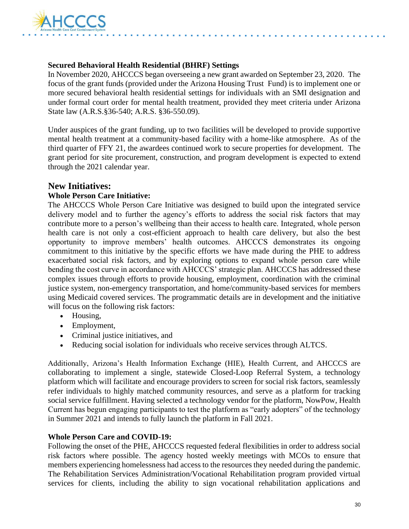

#### **Secured Behavioral Health Residential (BHRF) Settings**

In November 2020, AHCCCS began overseeing a new grant awarded on September 23, 2020. The focus of the grant funds (provided under the Arizona Housing Trust Fund) is to implement one or more secured behavioral health residential settings for individuals with an SMI designation and under formal court order for mental health treatment, provided they meet criteria under Arizona State law (A.R.S.§36-540; A.R.S. §36-550.09).

Under auspices of the grant funding, up to two facilities will be developed to provide supportive mental health treatment at a community-based facility with a home-like atmosphere. As of the third quarter of FFY 21, the awardees continued work to secure properties for development. The grant period for site procurement, construction, and program development is expected to extend through the 2021 calendar year.

### **New Initiatives:**

#### **Whole Person Care Initiative:**

The AHCCCS Whole Person Care Initiative was designed to build upon the integrated service delivery model and to further the agency's efforts to address the social risk factors that may contribute more to a person's wellbeing than their access to health care. Integrated, whole person health care is not only a cost-efficient approach to health care delivery, but also the best opportunity to improve members' health outcomes. AHCCCS demonstrates its ongoing commitment to this initiative by the specific efforts we have made during the PHE to address exacerbated social risk factors, and by exploring options to expand whole person care while bending the cost curve in accordance with AHCCCS' strategic plan. AHCCCS has addressed these complex issues through efforts to provide housing, employment, coordination with the criminal justice system, non-emergency transportation, and home/community-based services for members using Medicaid covered services. The programmatic details are in development and the initiative will focus on the following risk factors:

- Housing,
- Employment,
- Criminal justice initiatives, and
- Reducing social isolation for individuals who receive services through ALTCS.

Additionally, Arizona's Health Information Exchange (HIE), Health Current, and AHCCCS are collaborating to implement a single, statewide Closed-Loop Referral System, a technology platform which will facilitate and encourage providers to screen for social risk factors, seamlessly refer individuals to highly matched community resources, and serve as a platform for tracking social service fulfillment. Having selected a technology vendor for the platform, NowPow, Health Current has begun engaging participants to test the platform as "early adopters" of the technology in Summer 2021 and intends to fully launch the platform in Fall 2021.

#### **Whole Person Care and COVID-19:**

Following the onset of the PHE, AHCCCS requested federal flexibilities in order to address social risk factors where possible. The agency hosted weekly meetings with MCOs to ensure that members experiencing homelessness had access to the resources they needed during the pandemic. The Rehabilitation Services Administration/Vocational Rehabilitation program provided virtual services for clients, including the ability to sign vocational rehabilitation applications and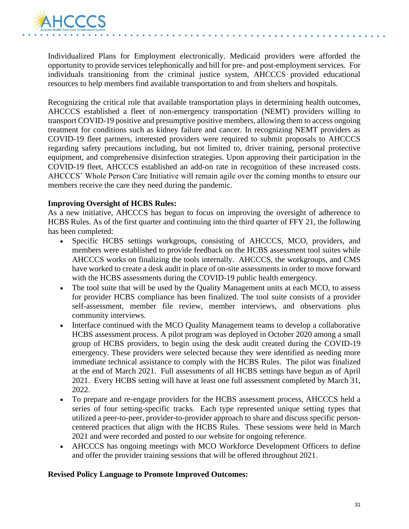

Individualized Plans for Employment electronically. Medicaid providers were afforded the opportunity to provide services telephonically and bill for pre- and post-employment services. For individuals transitioning from the criminal justice system, AHCCCS provided educational resources to help members find available transportation to and from shelters and hospitals.

Recognizing the critical role that available transportation plays in determining health outcomes, AHCCCS established a fleet of non-emergency transportation (NEMT) providers willing to transport COVID-19 positive and presumptive positive members, allowing them to access ongoing treatment for conditions such as kidney failure and cancer. In recognizing NEMT providers as COVID-19 fleet partners, interested providers were required to submit proposals to AHCCCS regarding safety precautions including, but not limited to, driver training, personal protective equipment, and comprehensive disinfection strategies. Upon approving their participation in the COVID-19 fleet, AHCCCS established an add-on rate in recognition of these increased costs. AHCCCS' Whole Person Care Initiative will remain agile over the coming months to ensure our members receive the care they need during the pandemic.

#### **Improving Oversight of HCBS Rules:**

As a new initiative, AHCCCS has begun to focus on improving the oversight of adherence to HCBS Rules. As of the first quarter and continuing into the third quarter of FFY 21, the following has been completed:

- Specific HCBS settings workgroups, consisting of AHCCCS, MCO, providers, and members were established to provide feedback on the HCBS assessment tool suites while AHCCCS works on finalizing the tools internally. AHCCCS, the workgroups, and CMS have worked to create a desk audit in place of on-site assessments in order to move forward with the HCBS assessments during the COVID-19 public health emergency.
- The tool suite that will be used by the Quality Management units at each MCO, to assess for provider HCBS compliance has been finalized. The tool suite consists of a provider self-assessment, member file review, member interviews, and observations plus community interviews.
- Interface continued with the MCO Quality Management teams to develop a collaborative HCBS assessment process. A pilot program was deployed in October 2020 among a small group of HCBS providers, to begin using the desk audit created during the COVID-19 emergency. These providers were selected because they were identified as needing more immediate technical assistance to comply with the HCBS Rules. The pilot was finalized at the end of March 2021. Full assessments of all HCBS settings have begun as of April 2021. Every HCBS setting will have at least one full assessment completed by March 31, 2022.
- To prepare and re-engage providers for the HCBS assessment process, AHCCCS held a series of four setting-specific tracks. Each type represented unique setting types that utilized a peer-to-peer, provider-to-provider approach to share and discuss specific personcentered practices that align with the HCBS Rules. These sessions were held in March 2021 and were recorded and posted to our website for ongoing reference.
- AHCCCS has ongoing meetings with MCO Workforce Development Officers to define and offer the provider training sessions that will be offered throughout 2021.

#### **Revised Policy Language to Promote Improved Outcomes:**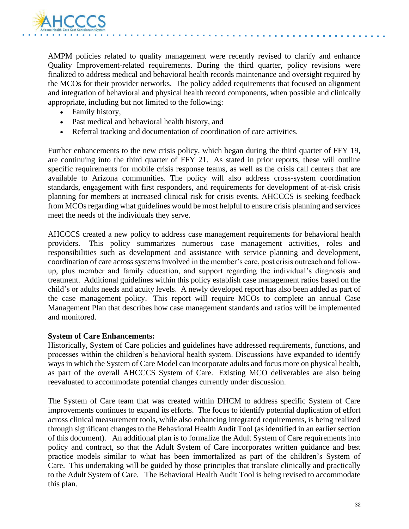

AMPM policies related to quality management were recently revised to clarify and enhance Quality Improvement-related requirements. During the third quarter, policy revisions were finalized to address medical and behavioral health records maintenance and oversight required by the MCOs for their provider networks. The policy added requirements that focused on alignment and integration of behavioral and physical health record components, when possible and clinically appropriate, including but not limited to the following:

- Family history,
- Past medical and behavioral health history, and
- Referral tracking and documentation of coordination of care activities.

Further enhancements to the new crisis policy, which began during the third quarter of FFY 19, are continuing into the third quarter of FFY 21. As stated in prior reports, these will outline specific requirements for mobile crisis response teams, as well as the crisis call centers that are available to Arizona communities. The policy will also address cross-system coordination standards, engagement with first responders, and requirements for development of at-risk crisis planning for members at increased clinical risk for crisis events. AHCCCS is seeking feedback from MCOs regarding what guidelines would be most helpful to ensure crisis planning and services meet the needs of the individuals they serve.

AHCCCS created a new policy to address case management requirements for behavioral health providers. This policy summarizes numerous case management activities, roles and responsibilities such as development and assistance with service planning and development, coordination of care across systems involved in the member's care, post crisis outreach and followup, plus member and family education, and support regarding the individual's diagnosis and treatment. Additional guidelines within this policy establish case management ratios based on the child's or adults needs and acuity levels. A newly developed report has also been added as part of the case management policy. This report will require MCOs to complete an annual Case Management Plan that describes how case management standards and ratios will be implemented and monitored.

#### **System of Care Enhancements:**

Historically, System of Care policies and guidelines have addressed requirements, functions, and processes within the children's behavioral health system. Discussions have expanded to identify ways in which the System of Care Model can incorporate adults and focus more on physical health, as part of the overall AHCCCS System of Care. Existing MCO deliverables are also being reevaluated to accommodate potential changes currently under discussion.

The System of Care team that was created within DHCM to address specific System of Care improvements continues to expand its efforts. The focus to identify potential duplication of effort across clinical measurement tools, while also enhancing integrated requirements, is being realized through significant changes to the Behavioral Health Audit Tool (as identified in an earlier section of this document). An additional plan is to formalize the Adult System of Care requirements into policy and contract, so that the Adult System of Care incorporates written guidance and best practice models similar to what has been immortalized as part of the children's System of Care. This undertaking will be guided by those principles that translate clinically and practically to the Adult System of Care. The Behavioral Health Audit Tool is being revised to accommodate this plan.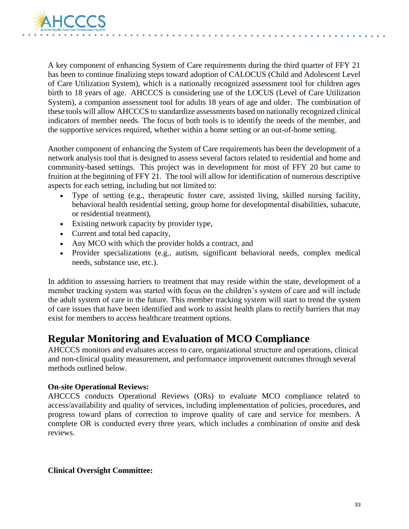

A key component of enhancing System of Care requirements during the third quarter of FFY 21 has been to continue finalizing steps toward adoption of CALOCUS (Child and Adolescent Level of Care Utilization System), which is a nationally recognized assessment tool for children ages birth to 18 years of age. AHCCCS is considering use of the LOCUS (Level of Care Utilization System), a companion assessment tool for adults 18 years of age and older. The combination of these tools will allow AHCCCS to standardize assessments based on nationally recognized clinical indicators of member needs. The focus of both tools is to identify the needs of the member, and the supportive services required, whether within a home setting or an out-of-home setting.

Another component of enhancing the System of Care requirements has been the development of a network analysis tool that is designed to assess several factors related to residential and home and community-based settings. This project was in development for most of FFY 20 but came to fruition at the beginning of FFY 21. The tool will allow for identification of numerous descriptive aspects for each setting, including but not limited to:

- Type of setting (e.g., therapeutic foster care, assisted living, skilled nursing facility, behavioral health residential setting, group home for developmental disabilities, subacute, or residential treatment),
- Existing network capacity by provider type,
- Current and total bed capacity,
- Any MCO with which the provider holds a contract, and
- Provider specializations (e.g., autism, significant behavioral needs, complex medical needs, substance use, etc.).

In addition to assessing barriers to treatment that may reside within the state, development of a member tracking system was started with focus on the children's system of care and will include the adult system of care in the future. This member tracking system will start to trend the system of care issues that have been identified and work to assist health plans to rectify barriers that may exist for members to access healthcare treatment options.

# **Regular Monitoring and Evaluation of MCO Compliance**

AHCCCS monitors and evaluates access to care, organizational structure and operations, clinical and non-clinical quality measurement, and performance improvement outcomes through several methods outlined below.

#### **On-site Operational Reviews:**

AHCCCS conducts Operational Reviews (ORs) to evaluate MCO compliance related to access/availability and quality of services, including implementation of policies, procedures, and progress toward plans of correction to improve quality of care and service for members. A complete OR is conducted every three years, which includes a combination of onsite and desk reviews.

#### **Clinical Oversight Committee:**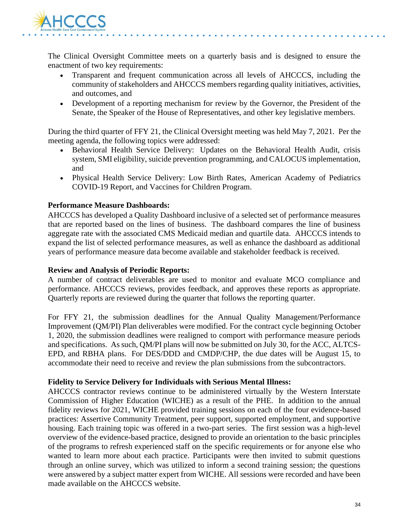

The Clinical Oversight Committee meets on a quarterly basis and is designed to ensure the enactment of two key requirements:

- Transparent and frequent communication across all levels of AHCCCS, including the community of stakeholders and AHCCCS members regarding quality initiatives, activities, and outcomes, and
- Development of a reporting mechanism for review by the Governor, the President of the Senate, the Speaker of the House of Representatives, and other key legislative members.

During the third quarter of FFY 21, the Clinical Oversight meeting was held May 7, 2021. Per the meeting agenda, the following topics were addressed:

- Behavioral Health Service Delivery: Updates on the Behavioral Health Audit, crisis system, SMI eligibility, suicide prevention programming, and CALOCUS implementation, and
- Physical Health Service Delivery: Low Birth Rates, American Academy of Pediatrics COVID-19 Report, and Vaccines for Children Program.

#### **Performance Measure Dashboards:**

AHCCCS has developed a Quality Dashboard inclusive of a selected set of performance measures that are reported based on the lines of business. The dashboard compares the line of business aggregate rate with the associated CMS Medicaid median and quartile data. AHCCCS intends to expand the list of selected performance measures, as well as enhance the dashboard as additional years of performance measure data become available and stakeholder feedback is received.

#### **Review and Analysis of Periodic Reports:**

A number of contract deliverables are used to monitor and evaluate MCO compliance and performance. AHCCCS reviews, provides feedback, and approves these reports as appropriate. Quarterly reports are reviewed during the quarter that follows the reporting quarter.

For FFY 21, the submission deadlines for the Annual Quality Management/Performance Improvement (QM/PI) Plan deliverables were modified. For the contract cycle beginning October 1, 2020, the submission deadlines were realigned to comport with performance measure periods and specifications. As such, QM/PI plans will now be submitted on July 30, for the ACC, ALTCS-EPD, and RBHA plans. For DES/DDD and CMDP/CHP, the due dates will be August 15, to accommodate their need to receive and review the plan submissions from the subcontractors.

#### **Fidelity to Service Delivery for Individuals with Serious Mental Illness:**

AHCCCS contractor reviews continue to be administered virtually by the Western Interstate Commission of Higher Education (WICHE) as a result of the PHE. In addition to the annual fidelity reviews for 2021, WICHE provided training sessions on each of the four evidence-based practices: Assertive Community Treatment, peer support, supported employment, and supportive housing. Each training topic was offered in a two-part series. The first session was a high-level overview of the evidence-based practice, designed to provide an orientation to the basic principles of the programs to refresh experienced staff on the specific requirements or for anyone else who wanted to learn more about each practice. Participants were then invited to submit questions through an online survey, which was utilized to inform a second training session; the questions were answered by a subject matter expert from WICHE. All sessions were recorded and have been made available on the AHCCCS website.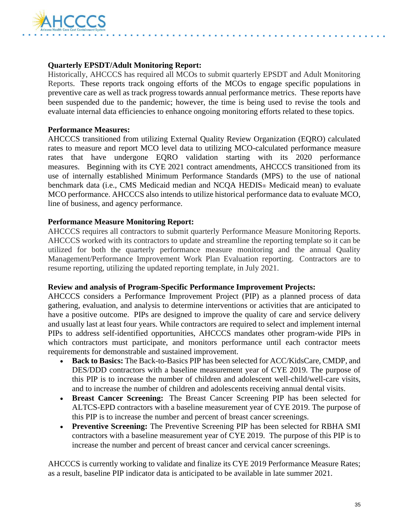

#### **Quarterly EPSDT/Adult Monitoring Report:**

Historically, AHCCCS has required all MCOs to submit quarterly EPSDT and Adult Monitoring Reports. These reports track ongoing efforts of the MCOs to engage specific populations in preventive care as well as track progress towards annual performance metrics. These reports have been suspended due to the pandemic; however, the time is being used to revise the tools and evaluate internal data efficiencies to enhance ongoing monitoring efforts related to these topics.

#### **Performance Measures:**

AHCCCS transitioned from utilizing External Quality Review Organization (EQRO) calculated rates to measure and report MCO level data to utilizing MCO-calculated performance measure rates that have undergone EQRO validation starting with its 2020 performance measures. Beginning with its CYE 2021 contract amendments, AHCCCS transitioned from its use of internally established Minimum Performance Standards (MPS) to the use of national benchmark data (i.e., CMS Medicaid median and NCQA HEDIS® Medicaid mean) to evaluate MCO performance. AHCCCS also intends to utilize historical performance data to evaluate MCO, line of business, and agency performance.

#### **Performance Measure Monitoring Report:**

AHCCCS requires all contractors to submit quarterly Performance Measure Monitoring Reports. AHCCCS worked with its contractors to update and streamline the reporting template so it can be utilized for both the quarterly performance measure monitoring and the annual Quality Management/Performance Improvement Work Plan Evaluation reporting. Contractors are to resume reporting, utilizing the updated reporting template, in July 2021.

#### **Review and analysis of Program-Specific Performance Improvement Projects:**

AHCCCS considers a Performance Improvement Project (PIP) as a planned process of data gathering, evaluation, and analysis to determine interventions or activities that are anticipated to have a positive outcome. PIPs are designed to improve the quality of care and service delivery and usually last at least four years. While contractors are required to select and implement internal PIPs to address self-identified opportunities, AHCCCS mandates other program-wide PIPs in which contractors must participate, and monitors performance until each contractor meets requirements for demonstrable and sustained improvement.

- **Back to Basics:** The Back-to-Basics PIP has been selected for ACC/KidsCare, CMDP, and DES/DDD contractors with a baseline measurement year of CYE 2019. The purpose of this PIP is to increase the number of children and adolescent well-child/well-care visits, and to increase the number of children and adolescents receiving annual dental visits.
- **Breast Cancer Screening:** The Breast Cancer Screening PIP has been selected for ALTCS-EPD contractors with a baseline measurement year of CYE 2019. The purpose of this PIP is to increase the number and percent of breast cancer screenings.
- **Preventive Screening:** The Preventive Screening PIP has been selected for RBHA SMI contractors with a baseline measurement year of CYE 2019. The purpose of this PIP is to increase the number and percent of breast cancer and cervical cancer screenings.

AHCCCS is currently working to validate and finalize its CYE 2019 Performance Measure Rates; as a result, baseline PIP indicator data is anticipated to be available in late summer 2021.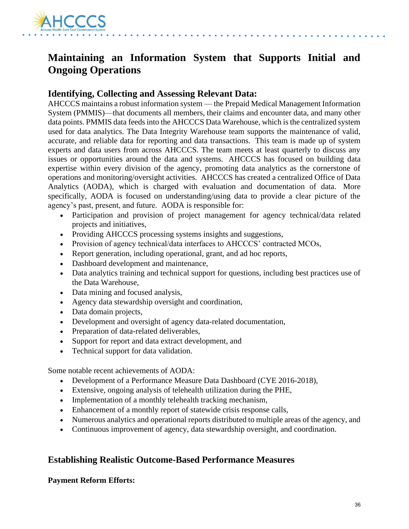

# **Maintaining an Information System that Supports Initial and Ongoing Operations**

### **Identifying, Collecting and Assessing Relevant Data:**

AHCCCS maintains a robust information system — the Prepaid Medical Management Information System (PMMIS)—that documents all members, their claims and encounter data, and many other data points. PMMIS data feeds into the AHCCCS Data Warehouse, which is the centralized system used for data analytics. The Data Integrity Warehouse team supports the maintenance of valid, accurate, and reliable data for reporting and data transactions. This team is made up of system experts and data users from across AHCCCS. The team meets at least quarterly to discuss any issues or opportunities around the data and systems. AHCCCS has focused on building data expertise within every division of the agency, promoting data analytics as the cornerstone of operations and monitoring/oversight activities. AHCCCS has created a centralized Office of Data Analytics (AODA), which is charged with evaluation and documentation of data. More specifically, AODA is focused on understanding/using data to provide a clear picture of the agency's past, present, and future. AODA is responsible for:

- Participation and provision of project management for agency technical/data related projects and initiatives,
- Providing AHCCCS processing systems insights and suggestions,
- Provision of agency technical/data interfaces to AHCCCS' contracted MCOs,
- Report generation, including operational, grant, and ad hoc reports,
- Dashboard development and maintenance,
- Data analytics training and technical support for questions, including best practices use of the Data Warehouse,
- Data mining and focused analysis,
- Agency data stewardship oversight and coordination,
- Data domain projects,
- Development and oversight of agency data-related documentation,
- Preparation of data-related deliverables,
- Support for report and data extract development, and
- Technical support for data validation.

Some notable recent achievements of AODA:

- Development of a Performance Measure Data Dashboard (CYE 2016-2018),
- Extensive, ongoing analysis of telehealth utilization during the PHE,
- Implementation of a monthly telehealth tracking mechanism,
- Enhancement of a monthly report of statewide crisis response calls,
- Numerous analytics and operational reports distributed to multiple areas of the agency, and
- Continuous improvement of agency, data stewardship oversight, and coordination.

# **Establishing Realistic Outcome-Based Performance Measures**

#### **Payment Reform Efforts:**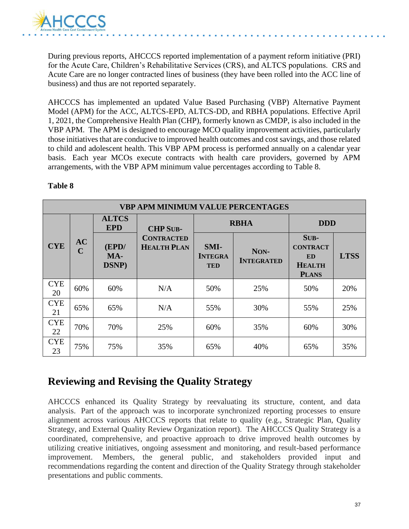

During previous reports, AHCCCS reported implementation of a payment reform initiative (PRI) for the Acute Care, Children's Rehabilitative Services (CRS), and ALTCS populations. CRS and Acute Care are no longer contracted lines of business (they have been rolled into the ACC line of business) and thus are not reported separately.

AHCCCS has implemented an updated Value Based Purchasing (VBP) Alternative Payment Model (APM) for the ACC, ALTCS-EPD, ALTCS-DD, and RBHA populations. Effective April 1, 2021, the Comprehensive Health Plan (CHP), formerly known as CMDP, is also included in the VBP APM. The APM is designed to encourage MCO quality improvement activities, particularly those initiatives that are conducive to improved health outcomes and cost savings, and those related to child and adolescent health. This VBP APM process is performed annually on a calendar year basis. Each year MCOs execute contracts with health care providers, governed by APM arrangements, with the VBP APM minimum value percentages according to Table 8.

|                  | <b>VBP APM MINIMUM VALUE PERCENTAGES</b> |                            |                                         |                                      |                           |                                                                       |             |  |
|------------------|------------------------------------------|----------------------------|-----------------------------------------|--------------------------------------|---------------------------|-----------------------------------------------------------------------|-------------|--|
|                  |                                          | <b>ALTCS</b><br><b>EPD</b> | <b>CHP SUB-</b>                         |                                      | <b>RBHA</b>               | <b>DDD</b>                                                            |             |  |
| <b>CYE</b>       | AC<br>$\mathbf C$                        | (EPD/<br>MA-<br>DSNP)      | <b>CONTRACTED</b><br><b>HEALTH PLAN</b> | SMI-<br><b>INTEGRA</b><br><b>TED</b> | NON-<br><b>INTEGRATED</b> | SUB-<br><b>CONTRACT</b><br><b>ED</b><br><b>HEALTH</b><br><b>PLANS</b> | <b>LTSS</b> |  |
| <b>CYE</b><br>20 | 60%                                      | 60%                        | N/A                                     | 50%                                  | 25%                       | 50%                                                                   | 20%         |  |
| <b>CYE</b><br>21 | 65%                                      | 65%                        | N/A                                     | 55%                                  | 30%                       | 55%                                                                   | 25%         |  |
| <b>CYE</b><br>22 | 70%                                      | 70%                        | 25%                                     | 60%                                  | 35%                       | 60%                                                                   | 30%         |  |
| <b>CYE</b><br>23 | 75%                                      | 75%                        | 35%                                     | 65%                                  | 40%                       | 65%                                                                   | 35%         |  |

### **Table 8**

# **Reviewing and Revising the Quality Strategy**

AHCCCS enhanced its Quality Strategy by reevaluating its structure, content, and data analysis. Part of the approach was to incorporate synchronized reporting processes to ensure alignment across various AHCCCS reports that relate to quality (e.g., Strategic Plan, Quality Strategy, and External Quality Review Organization report). The AHCCCS Quality Strategy is a coordinated, comprehensive, and proactive approach to drive improved health outcomes by utilizing creative initiatives, ongoing assessment and monitoring, and result-based performance improvement. Members, the general public, and stakeholders provided input and recommendations regarding the content and direction of the Quality Strategy through stakeholder presentations and public comments.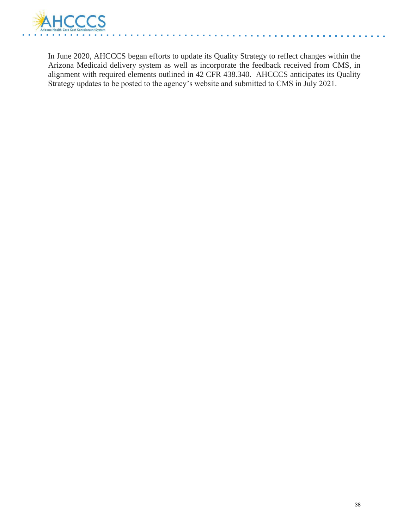

In June 2020, AHCCCS began efforts to update its Quality Strategy to reflect changes within the Arizona Medicaid delivery system as well as incorporate the feedback received from CMS, in alignment with required elements outlined in 42 CFR 438.340. AHCCCS anticipates its Quality Strategy updates to be posted to the agency's website and submitted to CMS in July 2021.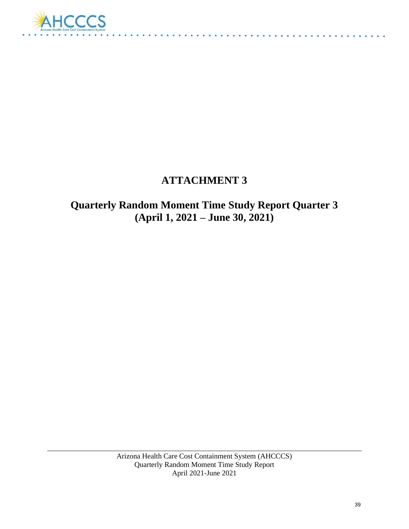

# **ATTACHMENT 3**

# **Quarterly Random Moment Time Study Report Quarter 3 (April 1, 2021 – June 30, 2021)**

Arizona Health Care Cost Containment System (AHCCCS) Quarterly Random Moment Time Study Report April 2021-June 2021